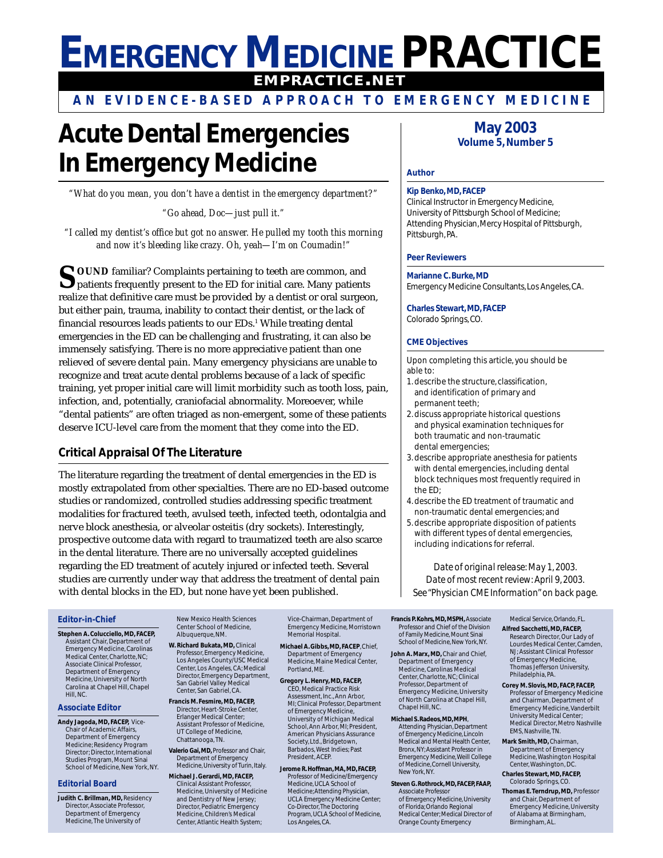# **EMERGENCY MEDICINE PRACTICE EMPRACTICE.NET**

**AN EVIDENCE-BASED APPROACH TO EMERGENCY MEDICINE**

# **Acute Dental Emergencies In Emergency Medicine**

*"What do you mean, you don't have a dentist in the emergency department?"*

*"Go ahead, Doc—just pull it."*

*"I called my dentist's office but got no answer. He pulled my tooth this morning and now it's bleeding like crazy. Oh, yeah—I'm on Coumadin!"*

**SOUND** familiar? Complaints pertaining to teeth are common, and  $\sum$  patients frequently present to the ED for initial care. Many patients realize that definitive care must be provided by a dentist or oral surgeon, but either pain, trauma, inability to contact their dentist, or the lack of financial resources leads patients to our EDs.<sup>1</sup> While treating dental emergencies in the ED can be challenging and frustrating, it can also be immensely satisfying. There is no more appreciative patient than one relieved of severe dental pain. Many emergency physicians are unable to recognize and treat acute dental problems because of a lack of specific training, yet proper initial care will limit morbidity such as tooth loss, pain, infection, and, potentially, craniofacial abnormality. Moreoever, while "dental patients" are often triaged as non-emergent, some of these patients deserve ICU-level care from the moment that they come into the ED.

## **Critical Appraisal Of The Literature**

The literature regarding the treatment of dental emergencies in the ED is mostly extrapolated from other specialties. There are no ED-based outcome studies or randomized, controlled studies addressing specific treatment modalities for fractured teeth, avulsed teeth, infected teeth, odontalgia and nerve block anesthesia, or alveolar osteitis (dry sockets). Interestingly, prospective outcome data with regard to traumatized teeth are also scarce in the dental literature. There are no universally accepted guidelines regarding the ED treatment of acutely injured or infected teeth. Several studies are currently under way that address the treatment of dental pain with dental blocks in the ED, but none have yet been published.

# **May 2003 Volume 5, Number 5**

#### **Author**

#### **Kip Benko, MD, FACEP**

Clinical Instructor in Emergency Medicine, University of Pittsburgh School of Medicine; Attending Physician, Mercy Hospital of Pittsburgh, Pittsburgh, PA.

#### **Peer Reviewers**

#### **Marianne C. Burke, MD**

Emergency Medicine Consultants, Los Angeles, CA.

**Charles Stewart, MD, FACEP** Colorado Springs, CO.

#### **CME Objectives**

Upon completing this article, you should be able to:

- 1. describe the structure, classification, and identification of primary and permanent teeth;
- 2. discuss appropriate historical questions and physical examination techniques for both traumatic and non-traumatic dental emergencies;
- 3. describe appropriate anesthesia for patients with dental emergencies, including dental block techniques most frequently required in the ED;
- 4. describe the ED treatment of traumatic and non-traumatic dental emergencies; and
- 5. describe appropriate disposition of patients with different types of dental emergencies, including indications for referral.

*Date of original release: May 1, 2003. Date of most recent review: April 9, 2003. See "Physician CME Information" on back page.*

#### **Editor-in-Chief**

**Stephen A. Colucciello, MD, FACEP,** Assistant Chair, Department of Emergency Medicine, Carolinas Medical Center, Charlotte, NC; Associate Clinical Professor, Department of Emergency Medicine, University of North Carolina at Chapel Hill, Chapel Hill, NC.

#### **Associate Editor**

**Andy Jagoda, MD, FACEP,** Vice-Chair of Academic Affairs, Department of Emergency Medicine; Residency Program Director; Director, International Studies Program, Mount Sinai School of Medicine, New York, NY.

#### **Editorial Board**

**Judith C. Brillman, MD,** Residency Director, Associate Professor, Department of Emergency Medicine, The University of

New Mexico Health Sciences Center School of Medicine, Albuquerque, NM **W. Richard Bukata, MD,** Clinical

- Professor, Emergency Medicine, Los Angeles County/USC Medical Center, Los Angeles, CA; Medical Director, Emergency Department, San Gabriel Valley Medical Center, San Gabriel, CA.
- **Francis M. Fesmire, MD, FACEP,** Director, Heart-Stroke Center, Erlanger Medical Center; Assistant Professor of Medicine, UT College of Medicine, Chattanooga, TN.
- **Valerio Gai, MD,** Professor and Chair, Department of Emergency Medicine, University of Turin, Italy.
- **Michael J. Gerardi, MD, FACEP,** Clinical Assistant Professor, Medicine, University of Medicine and Dentistry of New Jersey; Director, Pediatric Emergency Medicine, Children's Medical Center, Atlantic Health System;

Vice-Chairman, Department of Emergency Medicine, Morristown Memorial Hospital.

- **Michael A. Gibbs, MD, FACEP**, Chief, Department of Emergency Medicine, Maine Medical Center, Portland, ME.
- **Gregory L. Henry, MD, FACEP,** CEO, Medical Practice Risk Assessment, Inc., Ann Arbor, MI; Clinical Professor, Department of Emergency Medicine, University of Michigan Medical School, Ann Arbor, MI; President, American Physicians Assurance Society, Ltd., Bridgetown, Barbados, West Indies; Past President, ACEP.
- **Jerome R. Hoffman, MA, MD, FACEP,** Professor of Medicine/Emergency Medicine, UCLA School of Medicine; Attending Physician, UCLA Emergency Medicine Center; Co-Director, The Doctoring Program, UCLA School of Medicine, Los Angeles, CA.

**Francis P. Kohrs, MD, MSPH, Associate** Professor and Chief of the Division of Family Medicine, Mount Sinai School of Medicine, New York, NY.

- **John A. Marx, MD,** Chair and Chief, Department of Emergency Medicine, Carolinas Medical Center, Charlotte, NC; Clinical Professor, Department of Emergency Medicine, University of North Carolina at Chapel Hill, Chapel Hill, NC.
- **Michael S. Radeos, MD, MPH**, Attending Physician, Department of Emergency Medicine, Lincoln Medical and Mental Health Center, Bronx, NY; Assistant Professor in Emergency Medicine, Weill College of Medicine, Cornell University, New York, NY.
- **Steven G. Rothrock, MD, FACEP, FAAP,** Associate Professor of Emergency Medicine, University of Florida; Orlando Regional Medical Center; Medical Director of Orange County Emergency
- Medical Service, Orlando, FL. **Alfred Sacchetti, MD, FACEP,** Research Director, Our Lady of Lourdes Medical Center, Camden, NJ; Assistant Clinical Professor of Emergency Medicine, Thomas Jefferson University, Philadelphia, PA.
- **Corey M. Slovis, MD, FACP, FACEP,** Professor of Emergency Medicine and Chairman, Department of Emergency Medicine, Vanderbilt University Medical Center; Medical Director, Metro Nashville EMS, Nashville, TN.
- **Mark Smith, MD,** Chairman, Department of Emergency Medicine, Washington Hospital Center, Washington, DC. **Charles Stewart, MD, FACEP,**
- Colorado Springs, CO. **Thomas E. Terndrup, MD,** Professor and Chair, Department of Emergency Medicine, University of Alabama at Birmingham, Birmingham, AL.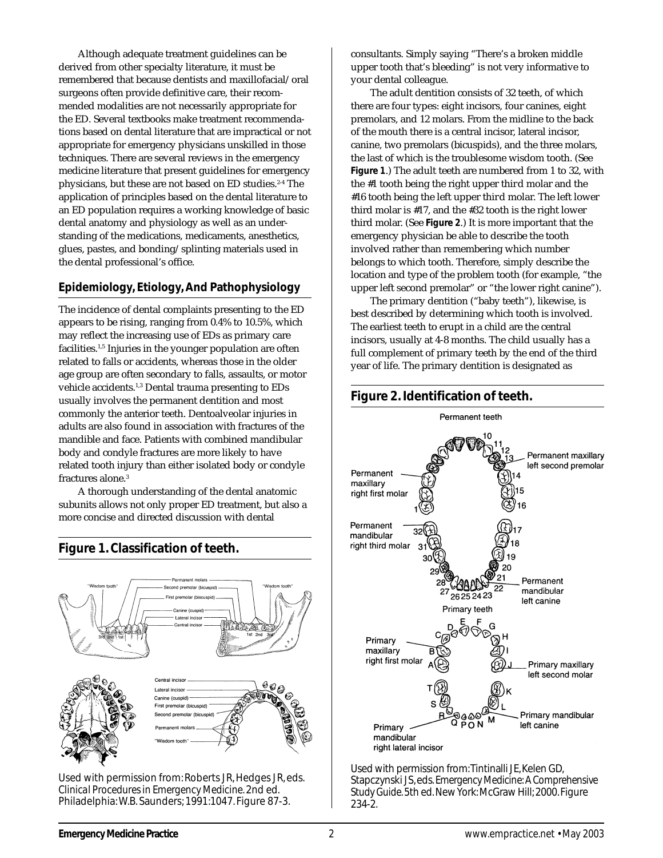Although adequate treatment guidelines can be derived from other specialty literature, it must be remembered that because dentists and maxillofacial/oral surgeons often provide definitive care, their recommended modalities are not necessarily appropriate for the ED. Several textbooks make treatment recommendations based on dental literature that are impractical or not appropriate for emergency physicians unskilled in those techniques. There are several reviews in the emergency medicine literature that present guidelines for emergency physicians, but these are not based on ED studies.<sup>2-4</sup> The application of principles based on the dental literature to an ED population requires a working knowledge of basic dental anatomy and physiology as well as an understanding of the medications, medicaments, anesthetics, glues, pastes, and bonding/splinting materials used in the dental professional's office.

## **Epidemiology, Etiology, And Pathophysiology**

The incidence of dental complaints presenting to the ED appears to be rising, ranging from 0.4% to 10.5%, which may reflect the increasing use of EDs as primary care facilities.1,5 Injuries in the younger population are often related to falls or accidents, whereas those in the older age group are often secondary to falls, assaults, or motor vehicle accidents.<sup>1,3</sup> Dental trauma presenting to EDs usually involves the permanent dentition and most commonly the anterior teeth. Dentoalveolar injuries in adults are also found in association with fractures of the mandible and face. Patients with combined mandibular body and condyle fractures are more likely to have related tooth injury than either isolated body or condyle fractures alone.<sup>3</sup>

A thorough understanding of the dental anatomic subunits allows not only proper ED treatment, but also a more concise and directed discussion with dental

**Figure 1. Classification of teeth.**



Used with permission from: Roberts JR, Hedges JR, eds. *Clinical Procedures in Emergency Medicine.* 2nd ed. Philadelphia: W.B. Saunders; 1991:1047. Figure 87-3.

consultants. Simply saying "There's a broken middle upper tooth that's bleeding" is not very informative to your dental colleague.

The adult dentition consists of 32 teeth, of which there are four types: eight incisors, four canines, eight premolars, and 12 molars. From the midline to the back of the mouth there is a central incisor, lateral incisor, canine, two premolars (bicuspids), and the three molars, the last of which is the troublesome wisdom tooth. (See **Figure 1**.) The adult teeth are numbered from 1 to 32, with the #1 tooth being the right upper third molar and the #16 tooth being the left upper third molar. The left lower third molar is #17, and the #32 tooth is the right lower third molar. (See **Figure 2**.) It is more important that the emergency physician be able to describe the tooth involved rather than remembering which number belongs to which tooth. Therefore, simply describe the location and type of the problem tooth (for example, "the upper left second premolar" or "the lower right canine").

The primary dentition ("baby teeth"), likewise, is best described by determining which tooth is involved. The earliest teeth to erupt in a child are the central incisors, usually at 4-8 months. The child usually has a full complement of primary teeth by the end of the third year of life. The primary dentition is designated as



Used with permission from: Tintinalli JE, Kelen GD, Stapczynski JS, eds. *Emergency Medicine: A Comprehensive Study Guide.* 5th ed. New York: McGraw Hill; 2000. Figure 234-2.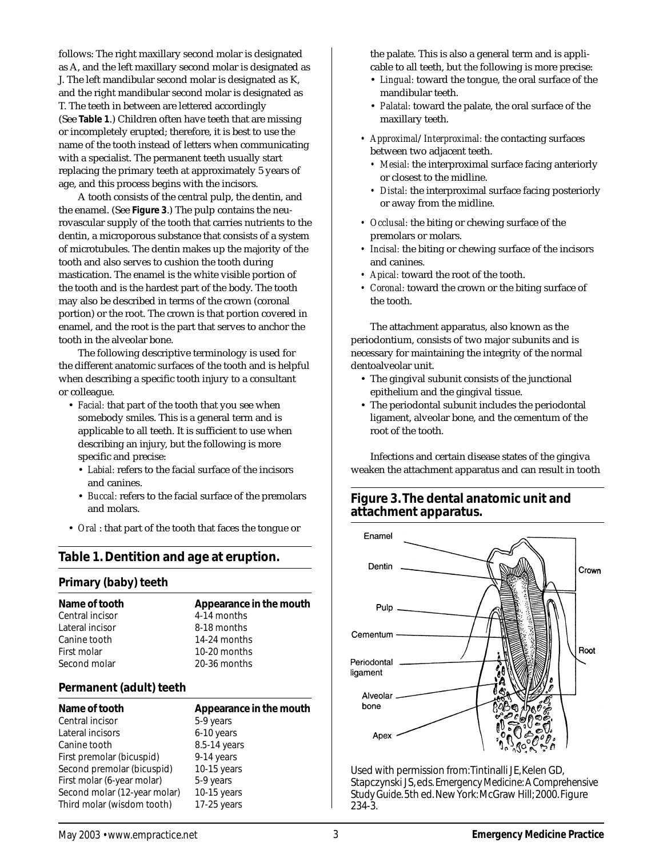follows: The right maxillary second molar is designated as A, and the left maxillary second molar is designated as J. The left mandibular second molar is designated as K, and the right mandibular second molar is designated as T. The teeth in between are lettered accordingly (See **Table 1**.) Children often have teeth that are missing or incompletely erupted; therefore, it is best to use the name of the tooth instead of letters when communicating with a specialist. The permanent teeth usually start replacing the primary teeth at approximately 5 years of age, and this process begins with the incisors.

A tooth consists of the central pulp, the dentin, and the enamel. (See **Figure 3**.) The pulp contains the neurovascular supply of the tooth that carries nutrients to the dentin, a microporous substance that consists of a system of microtubules. The dentin makes up the majority of the tooth and also serves to cushion the tooth during mastication. The enamel is the white visible portion of the tooth and is the hardest part of the body. The tooth may also be described in terms of the crown (coronal portion) or the root. The crown is that portion covered in enamel, and the root is the part that serves to anchor the tooth in the alveolar bone.

The following descriptive terminology is used for the different anatomic surfaces of the tooth and is helpful when describing a specific tooth injury to a consultant or colleague.

- *Facial:* that part of the tooth that you see when somebody smiles. This is a general term and is applicable to all teeth. It is sufficient to use when describing an injury, but the following is more specific and precise:
	- *Labial:* refers to the facial surface of the incisors and canines.
	- *Buccal:* refers to the facial surface of the premolars and molars.
- *Oral* : that part of the tooth that faces the tongue or

# **Table 1. Dentition and age at eruption.**

#### **Primary (baby) teeth**

| Name of tooth   | Appearance in the mouth |
|-----------------|-------------------------|
| Central incisor | 4-14 months             |
| Lateral incisor | 8-18 months             |
| Canine tooth    | 14-24 months            |
| First molar     | 10-20 months            |
| Second molar    | 20-36 months            |
|                 |                         |

#### **Permanent (adult) teeth**

| Name of tooth                | Appearance in the mouth |
|------------------------------|-------------------------|
| Central incisor              | 5-9 years               |
| Lateral incisors             | 6-10 years              |
| Canine tooth                 | 8.5-14 years            |
| First premolar (bicuspid)    | 9-14 years              |
| Second premolar (bicuspid)   | $10-15$ years           |
| First molar (6-year molar)   | 5-9 years               |
| Second molar (12-year molar) | $10-15$ years           |
| Third molar (wisdom tooth)   | $17-25$ years           |

the palate. This is also a general term and is applicable to all teeth, but the following is more precise:

- *Lingual:* toward the tongue, the oral surface of the mandibular teeth.
- *Palatal:* toward the palate, the oral surface of the maxillary teeth.
- *Approximal*/*Interproximal:* the contacting surfaces between two adjacent teeth.
	- *Mesial:* the interproximal surface facing anteriorly or closest to the midline.
	- *Distal:* the interproximal surface facing posteriorly or away from the midline.
- *Occlusal:* the biting or chewing surface of the premolars or molars.
- *Incisal:* the biting or chewing surface of the incisors and canines.
- *Apical:* toward the root of the tooth.
- *Coronal:* toward the crown or the biting surface of the tooth.

The attachment apparatus, also known as the periodontium, consists of two major subunits and is necessary for maintaining the integrity of the normal dentoalveolar unit.

- The gingival subunit consists of the junctional epithelium and the gingival tissue.
- The periodontal subunit includes the periodontal ligament, alveolar bone, and the cementum of the root of the tooth.

Infections and certain disease states of the gingiva weaken the attachment apparatus and can result in tooth

# **Figure 3. The dental anatomic unit and attachment apparatus.**



Used with permission from: Tintinalli JE, Kelen GD, Stapczynski JS, eds. *Emergency Medicine: A Comprehensive Study Guide.* 5th ed. New York: McGraw Hill; 2000. Figure 234-3.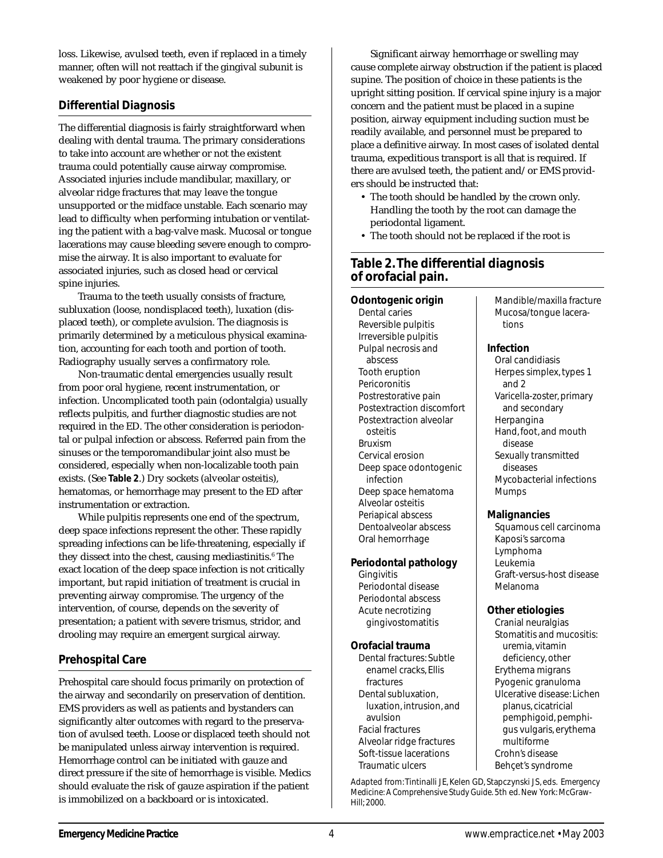loss. Likewise, avulsed teeth, even if replaced in a timely manner, often will not reattach if the gingival subunit is weakened by poor hygiene or disease.

#### **Differential Diagnosis**

The differential diagnosis is fairly straightforward when dealing with dental trauma. The primary considerations to take into account are whether or not the existent trauma could potentially cause airway compromise. Associated injuries include mandibular, maxillary, or alveolar ridge fractures that may leave the tongue unsupported or the midface unstable. Each scenario may lead to difficulty when performing intubation or ventilating the patient with a bag-valve mask. Mucosal or tongue lacerations may cause bleeding severe enough to compromise the airway. It is also important to evaluate for associated injuries, such as closed head or cervical spine injuries.

Trauma to the teeth usually consists of fracture, subluxation (loose, nondisplaced teeth), luxation (displaced teeth), or complete avulsion. The diagnosis is primarily determined by a meticulous physical examination, accounting for each tooth and portion of tooth. Radiography usually serves a confirmatory role.

Non-traumatic dental emergencies usually result from poor oral hygiene, recent instrumentation, or infection. Uncomplicated tooth pain (odontalgia) usually reflects pulpitis, and further diagnostic studies are not required in the ED. The other consideration is periodontal or pulpal infection or abscess. Referred pain from the sinuses or the temporomandibular joint also must be considered, especially when non-localizable tooth pain exists. (See **Table 2**.) Dry sockets (alveolar osteitis), hematomas, or hemorrhage may present to the ED after instrumentation or extraction.

While pulpitis represents one end of the spectrum, deep space infections represent the other. These rapidly spreading infections can be life-threatening, especially if they dissect into the chest, causing mediastinitis.<sup>6</sup> The exact location of the deep space infection is not critically important, but rapid initiation of treatment is crucial in preventing airway compromise. The urgency of the intervention, of course, depends on the severity of presentation; a patient with severe trismus, stridor, and drooling may require an emergent surgical airway.

## **Prehospital Care**

Prehospital care should focus primarily on protection of the airway and secondarily on preservation of dentition. EMS providers as well as patients and bystanders can significantly alter outcomes with regard to the preservation of avulsed teeth. Loose or displaced teeth should not be manipulated unless airway intervention is required. Hemorrhage control can be initiated with gauze and direct pressure if the site of hemorrhage is visible. Medics should evaluate the risk of gauze aspiration if the patient is immobilized on a backboard or is intoxicated.

Significant airway hemorrhage or swelling may cause complete airway obstruction if the patient is placed supine. The position of choice in these patients is the upright sitting position. If cervical spine injury is a major concern and the patient must be placed in a supine position, airway equipment including suction must be readily available, and personnel must be prepared to place a definitive airway. In most cases of isolated dental trauma, expeditious transport is all that is required. If there are avulsed teeth, the patient and/or EMS providers should be instructed that:

- The tooth should be handled by the crown only. Handling the tooth by the root can damage the periodontal ligament.
- The tooth should not be replaced if the root is

## **Table 2. The differential diagnosis of orofacial pain.**

**Odontogenic origin** Dental caries Reversible pulpitis Irreversible pulpitis Pulpal necrosis and abscess Tooth eruption Pericoronitis Postrestorative pain Postextraction discomfort Postextraction alveolar osteitis Bruxism Cervical erosion Deep space odontogenic infection Deep space hematoma Alveolar osteitis Periapical abscess Dentoalveolar abscess Oral hemorrhage

**Periodontal pathology**

Periodontal disease Periodontal abscess Acute necrotizing gingivostomatitis

**Orofacial trauma** Dental fractures: Subtle enamel cracks, Ellis

fractures Dental subluxation, luxation, intrusion, and

avulsion Facial fractures Alveolar ridge fractures Soft-tissue lacerations Traumatic ulcers

**Gingivitis** 

Mucosa/tongue lacerations

Mandible/maxilla fracture

#### **Infection** Oral candidiasis Herpes simplex, types 1 and 2 Varicella-zoster, primary and secondary Herpangina Hand, foot, and mouth disease Sexually transmitted diseases

Mycobacterial infections Mumps

#### **Malignancies**

Squamous cell carcinoma Kaposi's sarcoma Lymphoma Leukemia Graft-versus-host disease Melanoma

#### **Other etiologies**

Cranial neuralgias Stomatitis and mucositis: uremia, vitamin deficiency, other Erythema migrans Pyogenic granuloma Ulcerative disease: Lichen planus, cicatricial pemphigoid, pemphigus vulgaris, erythema multiforme Crohn's disease Behçet's syndrome

Adapted from: Tintinalli JE, Kelen GD, Stapczynski JS, eds. *Emergency Medicine: A Comprehensive Study Guide.* 5th ed. New York: McGraw-Hill; 2000.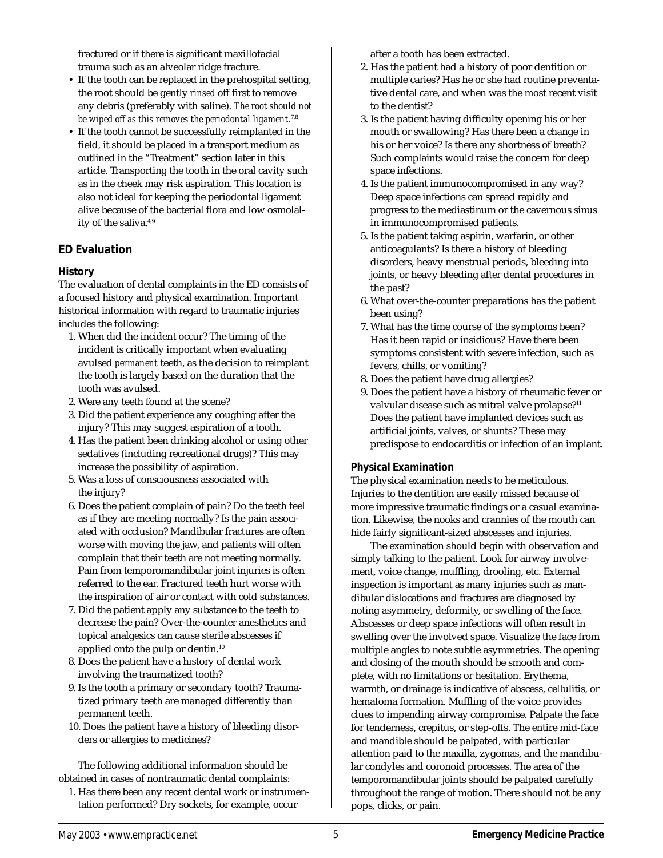fractured or if there is significant maxillofacial trauma such as an alveolar ridge fracture.

- If the tooth can be replaced in the prehospital setting, the root should be gently *rinsed* off first to remove any debris (preferably with saline). *The root should not be wiped off as this removes the periodontal ligament*. 7,8
- If the tooth cannot be successfully reimplanted in the field, it should be placed in a transport medium as outlined in the "Treatment" section later in this article. Transporting the tooth in the oral cavity such as in the cheek may risk aspiration. This location is also not ideal for keeping the periodontal ligament alive because of the bacterial flora and low osmolality of the saliva.4,9

## **ED Evaluation**

## **History**

The evaluation of dental complaints in the ED consists of a focused history and physical examination. Important historical information with regard to traumatic injuries includes the following:

- 1. When did the incident occur? The timing of the incident is critically important when evaluating avulsed *permanent* teeth, as the decision to reimplant the tooth is largely based on the duration that the tooth was avulsed.
- 2. Were any teeth found at the scene?
- 3. Did the patient experience any coughing after the injury? This may suggest aspiration of a tooth.
- 4. Has the patient been drinking alcohol or using other sedatives (including recreational drugs)? This may increase the possibility of aspiration.
- 5. Was a loss of consciousness associated with the injury?
- 6. Does the patient complain of pain? Do the teeth feel as if they are meeting normally? Is the pain associated with occlusion? Mandibular fractures are often worse with moving the jaw, and patients will often complain that their teeth are not meeting normally. Pain from temporomandibular joint injuries is often referred to the ear. Fractured teeth hurt worse with the inspiration of air or contact with cold substances.
- 7. Did the patient apply any substance to the teeth to decrease the pain? Over-the-counter anesthetics and topical analgesics can cause sterile abscesses if applied onto the pulp or dentin.10
- 8. Does the patient have a history of dental work involving the traumatized tooth?
- 9. Is the tooth a primary or secondary tooth? Traumatized primary teeth are managed differently than permanent teeth.
- 10. Does the patient have a history of bleeding disorders or allergies to medicines?

The following additional information should be obtained in cases of nontraumatic dental complaints:

1. Has there been any recent dental work or instrumentation performed? Dry sockets, for example, occur

after a tooth has been extracted.

- 2. Has the patient had a history of poor dentition or multiple caries? Has he or she had routine preventative dental care, and when was the most recent visit to the dentist?
- 3. Is the patient having difficulty opening his or her mouth or swallowing? Has there been a change in his or her voice? Is there any shortness of breath? Such complaints would raise the concern for deep space infections.
- 4. Is the patient immunocompromised in any way? Deep space infections can spread rapidly and progress to the mediastinum or the cavernous sinus in immunocompromised patients.
- 5. Is the patient taking aspirin, warfarin, or other anticoagulants? Is there a history of bleeding disorders, heavy menstrual periods, bleeding into joints, or heavy bleeding after dental procedures in the past?
- 6. What over-the-counter preparations has the patient been using?
- 7. What has the time course of the symptoms been? Has it been rapid or insidious? Have there been symptoms consistent with severe infection, such as fevers, chills, or vomiting?
- 8. Does the patient have drug allergies?
- 9. Does the patient have a history of rheumatic fever or valvular disease such as mitral valve prolapse?<sup>11</sup> Does the patient have implanted devices such as artificial joints, valves, or shunts? These may predispose to endocarditis or infection of an implant.

#### **Physical Examination**

The physical examination needs to be meticulous. Injuries to the dentition are easily missed because of more impressive traumatic findings or a casual examination. Likewise, the nooks and crannies of the mouth can hide fairly significant-sized abscesses and injuries.

The examination should begin with observation and simply talking to the patient. Look for airway involvement, voice change, muffling, drooling, etc. External inspection is important as many injuries such as mandibular dislocations and fractures are diagnosed by noting asymmetry, deformity, or swelling of the face. Abscesses or deep space infections will often result in swelling over the involved space. Visualize the face from multiple angles to note subtle asymmetries. The opening and closing of the mouth should be smooth and complete, with no limitations or hesitation. Erythema, warmth, or drainage is indicative of abscess, cellulitis, or hematoma formation. Muffling of the voice provides clues to impending airway compromise. Palpate the face for tenderness, crepitus, or step-offs. The entire mid-face and mandible should be palpated, with particular attention paid to the maxilla, zygomas, and the mandibular condyles and coronoid processes. The area of the temporomandibular joints should be palpated carefully throughout the range of motion. There should not be any pops, clicks, or pain.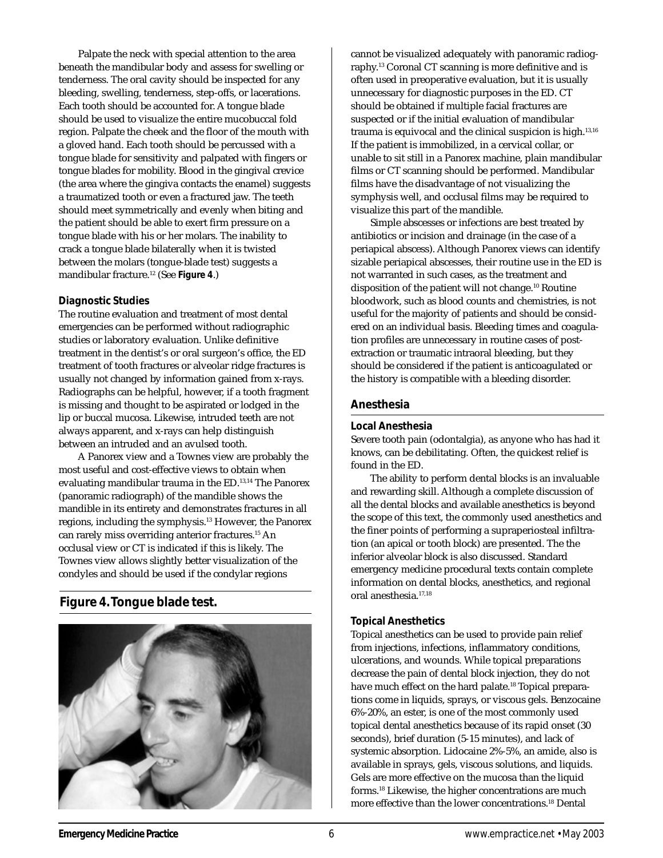Palpate the neck with special attention to the area beneath the mandibular body and assess for swelling or tenderness. The oral cavity should be inspected for any bleeding, swelling, tenderness, step-offs, or lacerations. Each tooth should be accounted for. A tongue blade should be used to visualize the entire mucobuccal fold region. Palpate the cheek and the floor of the mouth with a gloved hand. Each tooth should be percussed with a tongue blade for sensitivity and palpated with fingers or tongue blades for mobility. Blood in the gingival crevice (the area where the gingiva contacts the enamel) suggests a traumatized tooth or even a fractured jaw. The teeth should meet symmetrically and evenly when biting and the patient should be able to exert firm pressure on a tongue blade with his or her molars. The inability to crack a tongue blade bilaterally when it is twisted between the molars (tongue-blade test) suggests a mandibular fracture.12 (See **Figure 4**.)

#### **Diagnostic Studies**

The routine evaluation and treatment of most dental emergencies can be performed without radiographic studies or laboratory evaluation. Unlike definitive treatment in the dentist's or oral surgeon's office, the ED treatment of tooth fractures or alveolar ridge fractures is usually not changed by information gained from x-rays. Radiographs can be helpful, however, if a tooth fragment is missing and thought to be aspirated or lodged in the lip or buccal mucosa. Likewise, intruded teeth are not always apparent, and x-rays can help distinguish between an intruded and an avulsed tooth.

A Panorex view and a Townes view are probably the most useful and cost-effective views to obtain when evaluating mandibular trauma in the ED.13,14 The Panorex (panoramic radiograph) of the mandible shows the mandible in its entirety and demonstrates fractures in all regions, including the symphysis.13 However, the Panorex can rarely miss overriding anterior fractures.<sup>15</sup> An occlusal view or CT is indicated if this is likely. The Townes view allows slightly better visualization of the condyles and should be used if the condylar regions

# **Figure 4. Tongue blade test.**



cannot be visualized adequately with panoramic radiography.13 Coronal CT scanning is more definitive and is often used in preoperative evaluation, but it is usually unnecessary for diagnostic purposes in the ED. CT should be obtained if multiple facial fractures are suspected or if the initial evaluation of mandibular trauma is equivocal and the clinical suspicion is high.<sup>13,16</sup> If the patient is immobilized, in a cervical collar, or unable to sit still in a Panorex machine, plain mandibular films or CT scanning should be performed. Mandibular films have the disadvantage of not visualizing the symphysis well, and occlusal films may be required to visualize this part of the mandible.

Simple abscesses or infections are best treated by antibiotics or incision and drainage (in the case of a periapical abscess). Although Panorex views can identify sizable periapical abscesses, their routine use in the ED is not warranted in such cases, as the treatment and disposition of the patient will not change.10 Routine bloodwork, such as blood counts and chemistries, is not useful for the majority of patients and should be considered on an individual basis. Bleeding times and coagulation profiles are unnecessary in routine cases of postextraction or traumatic intraoral bleeding, but they should be considered if the patient is anticoagulated or the history is compatible with a bleeding disorder.

## **Anesthesia**

#### **Local Anesthesia**

Severe tooth pain (odontalgia), as anyone who has had it knows, can be debilitating. Often, the quickest relief is found in the ED.

The ability to perform dental blocks is an invaluable and rewarding skill. Although a complete discussion of all the dental blocks and available anesthetics is beyond the scope of this text, the commonly used anesthetics and the finer points of performing a supraperiosteal infiltration (an apical or tooth block) are presented. The the inferior alveolar block is also discussed. Standard emergency medicine procedural texts contain complete information on dental blocks, anesthetics, and regional oral anesthesia.17,18

#### **Topical Anesthetics**

Topical anesthetics can be used to provide pain relief from injections, infections, inflammatory conditions, ulcerations, and wounds. While topical preparations decrease the pain of dental block injection, they do not have much effect on the hard palate.<sup>18</sup> Topical preparations come in liquids, sprays, or viscous gels. Benzocaine 6%-20%, an ester, is one of the most commonly used topical dental anesthetics because of its rapid onset (30 seconds), brief duration (5-15 minutes), and lack of systemic absorption. Lidocaine 2%-5%, an amide, also is available in sprays, gels, viscous solutions, and liquids. Gels are more effective on the mucosa than the liquid forms.18 Likewise, the higher concentrations are much more effective than the lower concentrations.18 Dental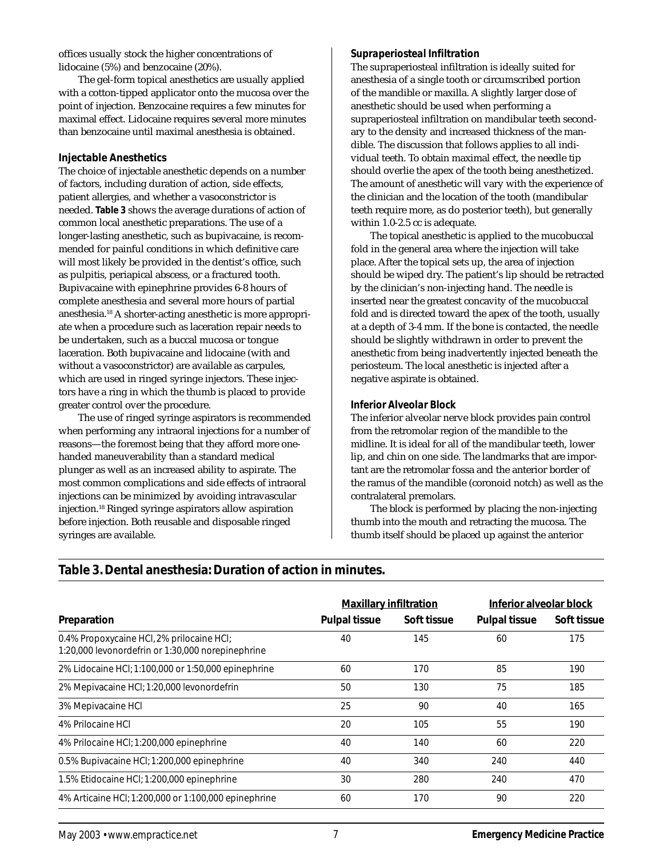offices usually stock the higher concentrations of lidocaine (5%) and benzocaine (20%).

The gel-form topical anesthetics are usually applied with a cotton-tipped applicator onto the mucosa over the point of injection. Benzocaine requires a few minutes for maximal effect. Lidocaine requires several more minutes than benzocaine until maximal anesthesia is obtained.

#### **Injectable Anesthetics**

The choice of injectable anesthetic depends on a number of factors, including duration of action, side effects, patient allergies, and whether a vasoconstrictor is needed. **Table 3** shows the average durations of action of common local anesthetic preparations. The use of a longer-lasting anesthetic, such as bupivacaine, is recommended for painful conditions in which definitive care will most likely be provided in the dentist's office, such as pulpitis, periapical abscess, or a fractured tooth. Bupivacaine with epinephrine provides 6-8 hours of complete anesthesia and several more hours of partial anesthesia.18 A shorter-acting anesthetic is more appropriate when a procedure such as laceration repair needs to be undertaken, such as a buccal mucosa or tongue laceration. Both bupivacaine and lidocaine (with and without a vasoconstrictor) are available as carpules, which are used in ringed syringe injectors. These injectors have a ring in which the thumb is placed to provide greater control over the procedure.

The use of ringed syringe aspirators is recommended when performing any intraoral injections for a number of reasons—the foremost being that they afford more onehanded maneuverability than a standard medical plunger as well as an increased ability to aspirate. The most common complications and side effects of intraoral injections can be minimized by avoiding intravascular injection.18 Ringed syringe aspirators allow aspiration before injection. Both reusable and disposable ringed syringes are available.

## *Supraperiosteal Infiltration*

The supraperiosteal infiltration is ideally suited for anesthesia of a single tooth or circumscribed portion of the mandible or maxilla. A slightly larger dose of anesthetic should be used when performing a supraperiosteal infiltration on mandibular teeth secondary to the density and increased thickness of the mandible. The discussion that follows applies to all individual teeth. To obtain maximal effect, the needle tip should overlie the apex of the tooth being anesthetized. The amount of anesthetic will vary with the experience of the clinician and the location of the tooth (mandibular teeth require more, as do posterior teeth), but generally within 1.0-2.5 cc is adequate.

The topical anesthetic is applied to the mucobuccal fold in the general area where the injection will take place. After the topical sets up, the area of injection should be wiped dry. The patient's lip should be retracted by the clinician's non-injecting hand. The needle is inserted near the greatest concavity of the mucobuccal fold and is directed toward the apex of the tooth, usually at a depth of 3-4 mm. If the bone is contacted, the needle should be slightly withdrawn in order to prevent the anesthetic from being inadvertently injected beneath the periosteum. The local anesthetic is injected after a negative aspirate is obtained.

## *Inferior Alveolar Block*

The inferior alveolar nerve block provides pain control from the retromolar region of the mandible to the midline. It is ideal for all of the mandibular teeth, lower lip, and chin on one side. The landmarks that are important are the retromolar fossa and the anterior border of the ramus of the mandible (coronoid notch) as well as the contralateral premolars.

The block is performed by placing the non-injecting thumb into the mouth and retracting the mucosa. The thumb itself should be placed up against the anterior

|                                                                                                | <b>Maxillary infiltration</b> |             | Inferior alveolar block |             |
|------------------------------------------------------------------------------------------------|-------------------------------|-------------|-------------------------|-------------|
| Preparation                                                                                    | <b>Pulpal tissue</b>          | Soft tissue | <b>Pulpal tissue</b>    | Soft tissue |
| 0.4% Propoxycaine HCl, 2% prilocaine HCl;<br>1:20,000 levonordefrin or 1:30,000 norepinephrine | 40                            | 145         | 60                      | 175         |
| 2% Lidocaine HCl; 1:100,000 or 1:50,000 epinephrine                                            | 60                            | 170         | 85                      | 190         |
| 2% Mepivacaine HCl; 1:20,000 levonordefrin                                                     | 50                            | 130         | 75                      | 185         |
| 3% Mepivacaine HCI                                                                             | 25                            | 90          | 40                      | 165         |
| 4% Prilocaine HCI                                                                              | 20                            | 105         | 55                      | 190         |
| 4% Prilocaine HCI; 1:200,000 epinephrine                                                       | 40                            | 140         | 60                      | 220         |
| 0.5% Bupivacaine HCl; 1:200,000 epinephrine                                                    | 40                            | 340         | 240                     | 440         |
| 1.5% Etidocaine HCI; 1:200,000 epinephrine                                                     | 30                            | 280         | 240                     | 470         |
| 4% Articaine HCl; 1:200,000 or 1:100,000 epinephrine                                           | 60                            | 170         | 90                      | 220         |

# **Table 3. Dental anesthesia: Duration of action in minutes.**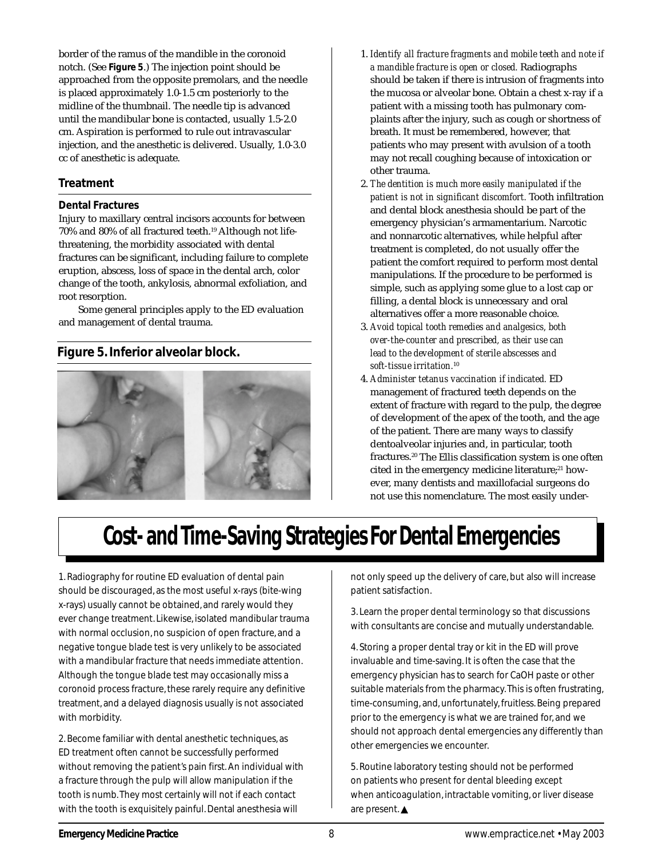border of the ramus of the mandible in the coronoid notch. (See **Figure 5**.) The injection point should be approached from the opposite premolars, and the needle is placed approximately 1.0-1.5 cm posteriorly to the midline of the thumbnail. The needle tip is advanced until the mandibular bone is contacted, usually 1.5-2.0 cm. Aspiration is performed to rule out intravascular injection, and the anesthetic is delivered. Usually, 1.0-3.0 cc of anesthetic is adequate.

#### **Treatment**

#### **Dental Fractures**

Injury to maxillary central incisors accounts for between 70% and 80% of all fractured teeth.19 Although not lifethreatening, the morbidity associated with dental fractures can be significant, including failure to complete eruption, abscess, loss of space in the dental arch, color change of the tooth, ankylosis, abnormal exfoliation, and root resorption.

Some general principles apply to the ED evaluation and management of dental trauma.

## **Figure 5. Inferior alveolar block.**



- 1. *Identify all fracture fragments and mobile teeth and note if a mandible fracture is open or closed.* Radiographs should be taken if there is intrusion of fragments into the mucosa or alveolar bone. Obtain a chest x-ray if a patient with a missing tooth has pulmonary complaints after the injury, such as cough or shortness of breath. It must be remembered, however, that patients who may present with avulsion of a tooth may not recall coughing because of intoxication or other trauma.
- 2. *The dentition is much more easily manipulated if the patient is not in significant discomfort.* Tooth infiltration and dental block anesthesia should be part of the emergency physician's armamentarium. Narcotic and nonnarcotic alternatives, while helpful after treatment is completed, do not usually offer the patient the comfort required to perform most dental manipulations. If the procedure to be performed is simple, such as applying some glue to a lost cap or filling, a dental block is unnecessary and oral alternatives offer a more reasonable choice.
- 3. *Avoid topical tooth remedies and analgesics, both over-the-counter and prescribed, as their use can lead to the development of sterile abscesses and soft-tissue irritation.*<sup>10</sup>
- 4. *Administer tetanus vaccination if indicated.* ED management of fractured teeth depends on the extent of fracture with regard to the pulp, the degree of development of the apex of the tooth, and the age of the patient. There are many ways to classify dentoalveolar injuries and, in particular, tooth fractures.20 The Ellis classification system is one often cited in the emergency medicine literature;<sup>21</sup> however, many dentists and maxillofacial surgeons do not use this nomenclature. The most easily under-

# **Cost- and Time-Saving Strategies For Dental Emergencies**

1. Radiography for routine ED evaluation of dental pain should be discouraged, as the most useful x-rays (bite-wing x-rays) usually cannot be obtained, and rarely would they ever change treatment. Likewise, isolated mandibular trauma with normal occlusion, no suspicion of open fracture, and a negative tongue blade test is very unlikely to be associated with a mandibular fracture that needs immediate attention. Although the tongue blade test may occasionally miss a coronoid process fracture, these rarely require any definitive treatment, and a delayed diagnosis usually is not associated with morbidity.

2. Become familiar with dental anesthetic techniques, as ED treatment often cannot be successfully performed without removing the patient's pain first. An individual with a fracture through the pulp will allow manipulation if the tooth is numb. They most certainly will not if each contact with the tooth is exquisitely painful. Dental anesthesia will

not only speed up the delivery of care, but also will increase patient satisfaction.

3. Learn the proper dental terminology so that discussions with consultants are concise and mutually understandable.

4. Storing a proper dental tray or kit in the ED will prove invaluable and time-saving. It is often the case that the emergency physician has to search for CaOH paste or other suitable materials from the pharmacy. This is often frustrating, time-consuming, and, unfortunately, fruitless. Being prepared prior to the emergency is what we are trained for, and we should not approach dental emergencies any differently than other emergencies we encounter.

5. Routine laboratory testing should not be performed on patients who present for dental bleeding except when anticoagulation, intractable vomiting, or liver disease are present. ▲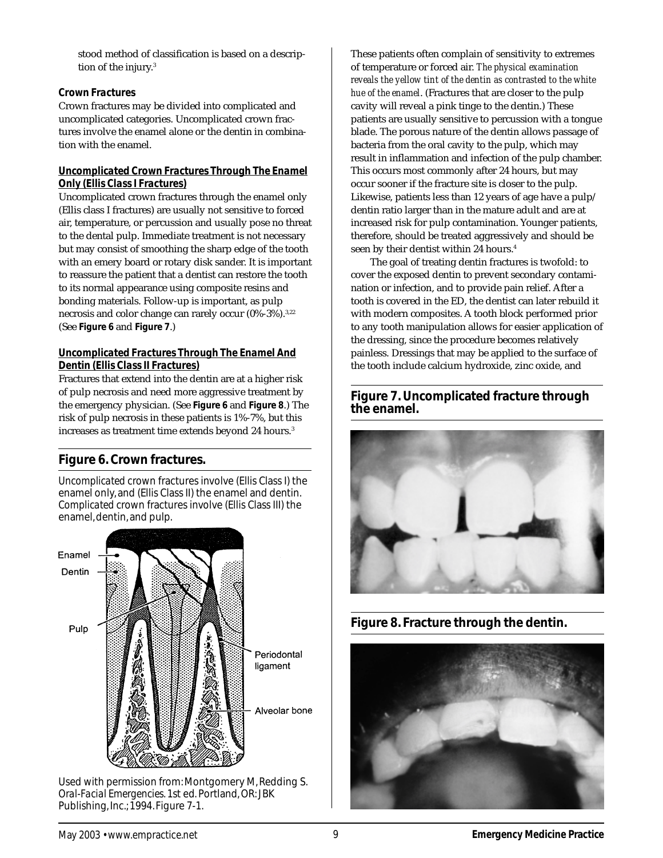stood method of classification is based on a description of the injury.<sup>3</sup>

## *Crown Fractures*

Crown fractures may be divided into complicated and uncomplicated categories. Uncomplicated crown fractures involve the enamel alone or the dentin in combination with the enamel.

#### *Uncomplicated Crown Fractures Through The Enamel Only (Ellis Class I Fractures)*

Uncomplicated crown fractures through the enamel only (Ellis class I fractures) are usually not sensitive to forced air, temperature, or percussion and usually pose no threat to the dental pulp. Immediate treatment is not necessary but may consist of smoothing the sharp edge of the tooth with an emery board or rotary disk sander. It is important to reassure the patient that a dentist can restore the tooth to its normal appearance using composite resins and bonding materials. Follow-up is important, as pulp necrosis and color change can rarely occur (0%-3%).<sup>3,22</sup> (See **Figure 6** and **Figure 7**.)

## *Uncomplicated Fractures Through The Enamel And Dentin (Ellis Class II Fractures)*

Fractures that extend into the dentin are at a higher risk of pulp necrosis and need more aggressive treatment by the emergency physician. (See **Figure 6** and **Figure 8**.) The risk of pulp necrosis in these patients is 1%-7%, but this increases as treatment time extends beyond 24 hours.<sup>3</sup>

# **Figure 6. Crown fractures.**

*Uncomplicated* crown fractures involve (Ellis Class I) the enamel only, and (Ellis Class II) the enamel and dentin. *Complicated* crown fractures involve (Ellis Class III) the enamel, dentin, and pulp.



Used with permission from: Montgomery M, Redding S. *Oral-Facial Emergencies.* 1st ed. Portland, OR: JBK Publishing, Inc.; 1994. Figure 7-1.

These patients often complain of sensitivity to extremes of temperature or forced air. *The physical examination reveals the yellow tint of the dentin as contrasted to the white hue of the enamel*. (Fractures that are closer to the pulp cavity will reveal a pink tinge to the dentin.) These patients are usually sensitive to percussion with a tongue blade. The porous nature of the dentin allows passage of bacteria from the oral cavity to the pulp, which may result in inflammation and infection of the pulp chamber. This occurs most commonly after 24 hours, but may occur sooner if the fracture site is closer to the pulp. Likewise, patients less than 12 years of age have a pulp/ dentin ratio larger than in the mature adult and are at increased risk for pulp contamination. Younger patients, therefore, should be treated aggressively and should be seen by their dentist within 24 hours.<sup>4</sup>

The goal of treating dentin fractures is twofold: to cover the exposed dentin to prevent secondary contamination or infection, and to provide pain relief. After a tooth is covered in the ED, the dentist can later rebuild it with modern composites. A tooth block performed prior to any tooth manipulation allows for easier application of the dressing, since the procedure becomes relatively painless. Dressings that may be applied to the surface of the tooth include calcium hydroxide, zinc oxide, and

# **Figure 7. Uncomplicated fracture through the enamel.**





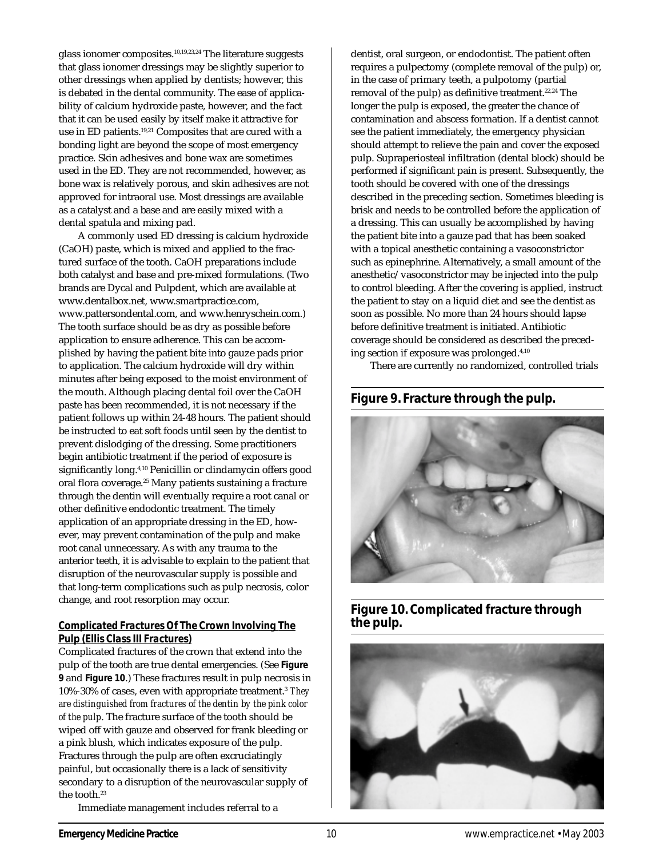glass ionomer composites.10,19,23,24 The literature suggests that glass ionomer dressings may be slightly superior to other dressings when applied by dentists; however, this is debated in the dental community. The ease of applicability of calcium hydroxide paste, however, and the fact that it can be used easily by itself make it attractive for use in ED patients.<sup>19,21</sup> Composites that are cured with a bonding light are beyond the scope of most emergency practice. Skin adhesives and bone wax are sometimes used in the ED. They are not recommended, however, as bone wax is relatively porous, and skin adhesives are not approved for intraoral use. Most dressings are available as a catalyst and a base and are easily mixed with a dental spatula and mixing pad.

A commonly used ED dressing is calcium hydroxide (CaOH) paste, which is mixed and applied to the fractured surface of the tooth. CaOH preparations include both catalyst and base and pre-mixed formulations. (Two brands are Dycal and Pulpdent, which are available at www.dentalbox.net, www.smartpractice.com, www.pattersondental.com, and www.henryschein.com.) The tooth surface should be as dry as possible before application to ensure adherence. This can be accomplished by having the patient bite into gauze pads prior to application. The calcium hydroxide will dry within minutes after being exposed to the moist environment of the mouth. Although placing dental foil over the CaOH paste has been recommended, it is not necessary if the patient follows up within 24-48 hours. The patient should be instructed to eat soft foods until seen by the dentist to prevent dislodging of the dressing. Some practitioners begin antibiotic treatment if the period of exposure is significantly long.<sup>4,10</sup> Penicillin or clindamycin offers good oral flora coverage.25 Many patients sustaining a fracture through the dentin will eventually require a root canal or other definitive endodontic treatment. The timely application of an appropriate dressing in the ED, however, may prevent contamination of the pulp and make root canal unnecessary. As with any trauma to the anterior teeth, it is advisable to explain to the patient that disruption of the neurovascular supply is possible and that long-term complications such as pulp necrosis, color change, and root resorption may occur.

#### *Complicated Fractures Of The Crown Involving The Pulp (Ellis Class III Fractures)*

Complicated fractures of the crown that extend into the pulp of the tooth are true dental emergencies. (See **Figure 9** and **Figure 10**.) These fractures result in pulp necrosis in 10%-30% of cases, even with appropriate treatment.3 *They are distinguished from fractures of the dentin by the pink color of the pulp*. The fracture surface of the tooth should be wiped off with gauze and observed for frank bleeding or a pink blush, which indicates exposure of the pulp. Fractures through the pulp are often excruciatingly painful, but occasionally there is a lack of sensitivity secondary to a disruption of the neurovascular supply of the tooth.<sup>23</sup>

dentist, oral surgeon, or endodontist. The patient often requires a pulpectomy (complete removal of the pulp) or, in the case of primary teeth, a pulpotomy (partial removal of the pulp) as definitive treatment.<sup>22,24</sup> The longer the pulp is exposed, the greater the chance of contamination and abscess formation. If a dentist cannot see the patient immediately, the emergency physician should attempt to relieve the pain and cover the exposed pulp. Supraperiosteal infiltration (dental block) should be performed if significant pain is present. Subsequently, the tooth should be covered with one of the dressings described in the preceding section. Sometimes bleeding is brisk and needs to be controlled before the application of a dressing. This can usually be accomplished by having the patient bite into a gauze pad that has been soaked with a topical anesthetic containing a vasoconstrictor such as epinephrine. Alternatively, a small amount of the anesthetic/vasoconstrictor may be injected into the pulp to control bleeding. After the covering is applied, instruct the patient to stay on a liquid diet and see the dentist as soon as possible. No more than 24 hours should lapse before definitive treatment is initiated. Antibiotic coverage should be considered as described the preceding section if exposure was prolonged.4,10

There are currently no randomized, controlled trials

# **Figure 9. Fracture through the pulp.**



**Figure 10. Complicated fracture through the pulp.**



Immediate management includes referral to a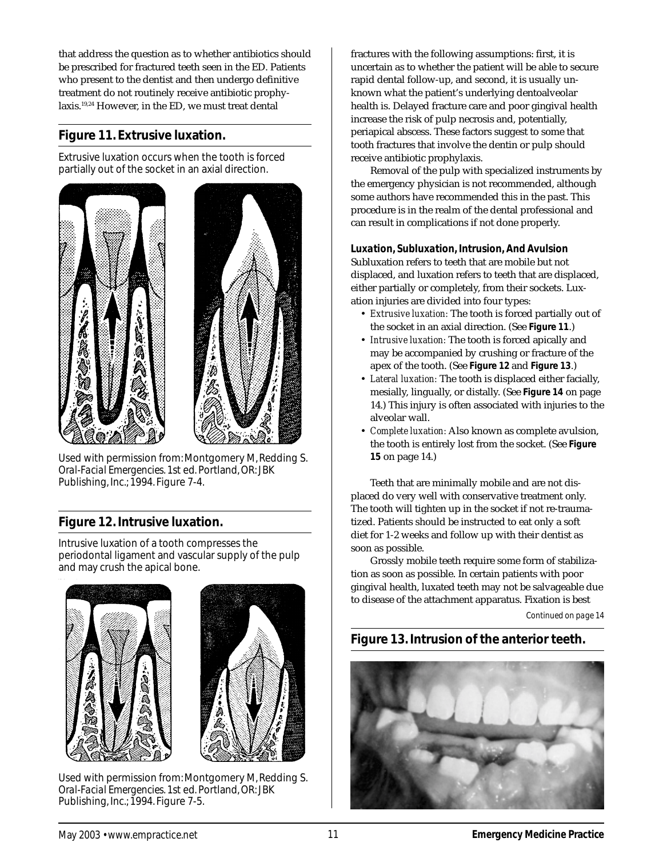that address the question as to whether antibiotics should be prescribed for fractured teeth seen in the ED. Patients who present to the dentist and then undergo definitive treatment do not routinely receive antibiotic prophylaxis.19,24 However, in the ED, we must treat dental

# **Figure 11. Extrusive luxation.**

Extrusive luxation occurs when the tooth is forced partially out of the socket in an axial direction.





Used with permission from: Montgomery M, Redding S. *Oral-Facial Emergencies.* 1st ed. Portland, OR: JBK Publishing, Inc.; 1994. Figure 7-4.

# **Figure 12. Intrusive luxation.**

Intrusive luxation of a tooth compresses the periodontal ligament and vascular supply of the pulp and may crush the apical bone.





Used with permission from: Montgomery M, Redding S. *Oral-Facial Emergencies.* 1st ed. Portland, OR: JBK Publishing, Inc.; 1994. Figure 7-5.

fractures with the following assumptions: first, it is uncertain as to whether the patient will be able to secure rapid dental follow-up, and second, it is usually unknown what the patient's underlying dentoalveolar health is. Delayed fracture care and poor gingival health increase the risk of pulp necrosis and, potentially, periapical abscess. These factors suggest to some that tooth fractures that involve the dentin or pulp should receive antibiotic prophylaxis.

Removal of the pulp with specialized instruments by the emergency physician is not recommended, although some authors have recommended this in the past. This procedure is in the realm of the dental professional and can result in complications if not done properly.

## *Luxation, Subluxation, Intrusion, And Avulsion*

Subluxation refers to teeth that are mobile but not displaced, and luxation refers to teeth that are displaced, either partially or completely, from their sockets. Luxation injuries are divided into four types:

- *Extrusive luxation:* The tooth is forced partially out of the socket in an axial direction. (See **Figure 11**.)
- *Intrusive luxation:* The tooth is forced apically and may be accompanied by crushing or fracture of the apex of the tooth. (See **Figure 12** and **Figure 13**.)
- *Lateral luxation:* The tooth is displaced either facially, mesially, lingually, or distally. (See **Figure 14** on page 14.) This injury is often associated with injuries to the alveolar wall.
- *Complete luxation:* Also known as complete avulsion, the tooth is entirely lost from the socket. (See **Figure 15** on page 14.)

Teeth that are minimally mobile and are not displaced do very well with conservative treatment only. The tooth will tighten up in the socket if not re-traumatized. Patients should be instructed to eat only a soft diet for 1-2 weeks and follow up with their dentist as soon as possible.

Grossly mobile teeth require some form of stabilization as soon as possible. In certain patients with poor gingival health, luxated teeth may not be salvageable due to disease of the attachment apparatus. Fixation is best

*Continued on page 14*

# **Figure 13. Intrusion of the anterior teeth.**

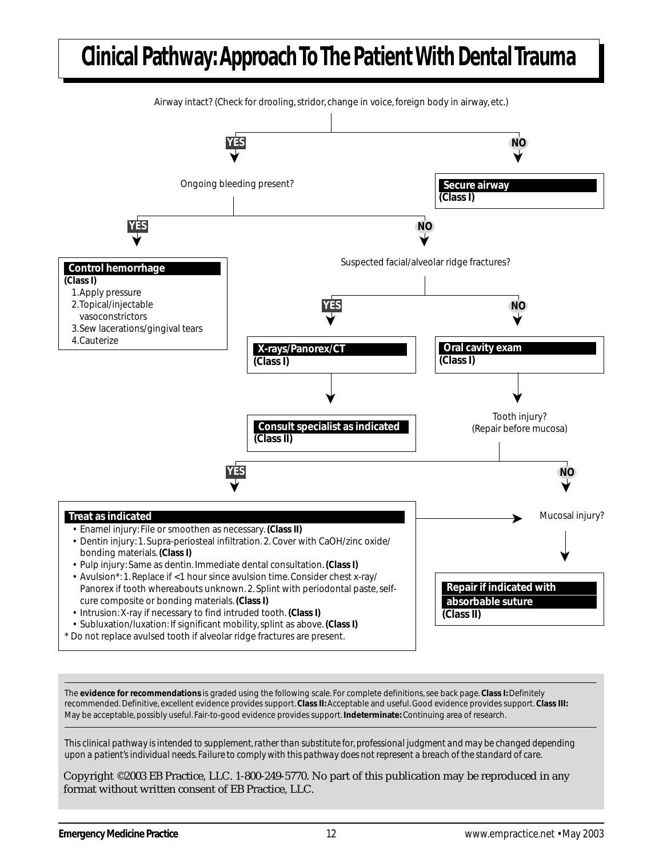# **Clinical Pathway: Approach To The Patient With Dental Trauma**

![](_page_11_Figure_1.jpeg)

The **evidence for recommendations** is graded using the following scale. For complete definitions, see back page. **Class I:** Definitely recommended. Definitive, excellent evidence provides support. **Class II:** Acceptable and useful. Good evidence provides support. **Class III:** May be acceptable, possibly useful. Fair-to-good evidence provides support. **Indeterminate:** Continuing area of research.

*This clinical pathway is intended to supplement, rather than substitute for, professional judgment and may be changed depending upon a patient's individual needs. Failure to comply with this pathway does not represent a breach of the standard of care.*

Copyright ©2003 EB Practice, LLC. 1-800-249-5770. No part of this publication may be reproduced in any format without written consent of EB Practice, LLC.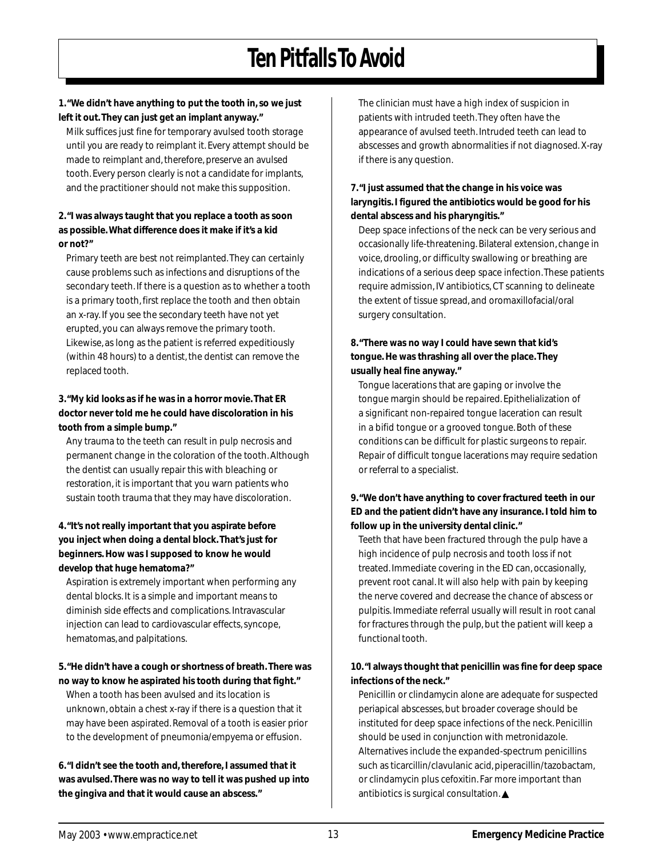# **Ten Pitfalls To Avoid**

**1. "We didn't have anything to put the tooth in, so we just left it out. They can just get an implant anyway."**

Milk suffices just fine for temporary avulsed tooth storage until you are ready to reimplant it. Every attempt should be made to reimplant and, therefore, preserve an avulsed tooth. Every person clearly is not a candidate for implants, and the practitioner should not make this supposition.

#### **2. "I was always taught that you replace a tooth as soon as possible. What difference does it make if it's a kid or not?"**

Primary teeth are best not reimplanted. They can certainly cause problems such as infections and disruptions of the secondary teeth. If there is a question as to whether a tooth is a primary tooth, first replace the tooth and then obtain an x-ray. If you see the secondary teeth have not yet erupted, you can always remove the primary tooth. Likewise, as long as the patient is referred expeditiously (within 48 hours) to a dentist, the dentist can remove the replaced tooth.

#### **3. "My kid looks as if he was in a horror movie. That ER doctor never told me he could have discoloration in his tooth from a simple bump."**

Any trauma to the teeth can result in pulp necrosis and permanent change in the coloration of the tooth. Although the dentist can usually repair this with bleaching or restoration, it is important that you warn patients who sustain tooth trauma that they may have discoloration.

#### **4. "It's not really important that you aspirate before you inject when doing a dental block. That's just for beginners. How was I supposed to know he would develop that huge hematoma?"**

Aspiration is extremely important when performing any dental blocks. It is a simple and important means to diminish side effects and complications. Intravascular injection can lead to cardiovascular effects, syncope, hematomas, and palpitations.

#### **5. "He didn't have a cough or shortness of breath. There was no way to know he aspirated his tooth during that fight."**

When a tooth has been avulsed and its location is unknown, obtain a chest x-ray if there is a question that it may have been aspirated. Removal of a tooth is easier prior to the development of pneumonia/empyema or effusion.

**6. "I didn't see the tooth and, therefore, I assumed that it was avulsed. There was no way to tell it was pushed up into the gingiva and that it would cause an abscess."**

The clinician must have a high index of suspicion in patients with intruded teeth. They often have the appearance of avulsed teeth. Intruded teeth can lead to abscesses and growth abnormalities if not diagnosed. X-ray if there is any question.

#### **7. "I just assumed that the change in his voice was laryngitis. I figured the antibiotics would be good for his dental abscess and his pharyngitis."**

Deep space infections of the neck can be very serious and occasionally life-threatening. Bilateral extension, change in voice, drooling, or difficulty swallowing or breathing are indications of a serious deep space infection. These patients require admission, IV antibiotics, CT scanning to delineate the extent of tissue spread, and oromaxillofacial/oral surgery consultation.

## **8. "There was no way I could have sewn that kid's tongue. He was thrashing all over the place. They usually heal fine anyway."**

Tongue lacerations that are gaping or involve the tongue margin should be repaired. Epithelialization of a significant non-repaired tongue laceration can result in a bifid tongue or a grooved tongue. Both of these conditions can be difficult for plastic surgeons to repair. Repair of difficult tongue lacerations may require sedation or referral to a specialist.

## **9. "We don't have anything to cover fractured teeth in our ED and the patient didn't have any insurance. I told him to follow up in the university dental clinic."**

Teeth that have been fractured through the pulp have a high incidence of pulp necrosis and tooth loss if not treated. Immediate covering in the ED can, occasionally, prevent root canal. It will also help with pain by keeping the nerve covered and decrease the chance of abscess or pulpitis. Immediate referral usually will result in root canal for fractures through the pulp, but the patient will keep a functional tooth.

## **10. "I always thought that penicillin was fine for deep space infections of the neck."**

Penicillin or clindamycin alone are adequate for suspected periapical abscesses, but broader coverage should be instituted for deep space infections of the neck. Penicillin should be used in conjunction with metronidazole. Alternatives include the expanded-spectrum penicillins such as ticarcillin/clavulanic acid, piperacillin/tazobactam, or clindamycin plus cefoxitin. Far more important than antibiotics is surgical consultation. ▲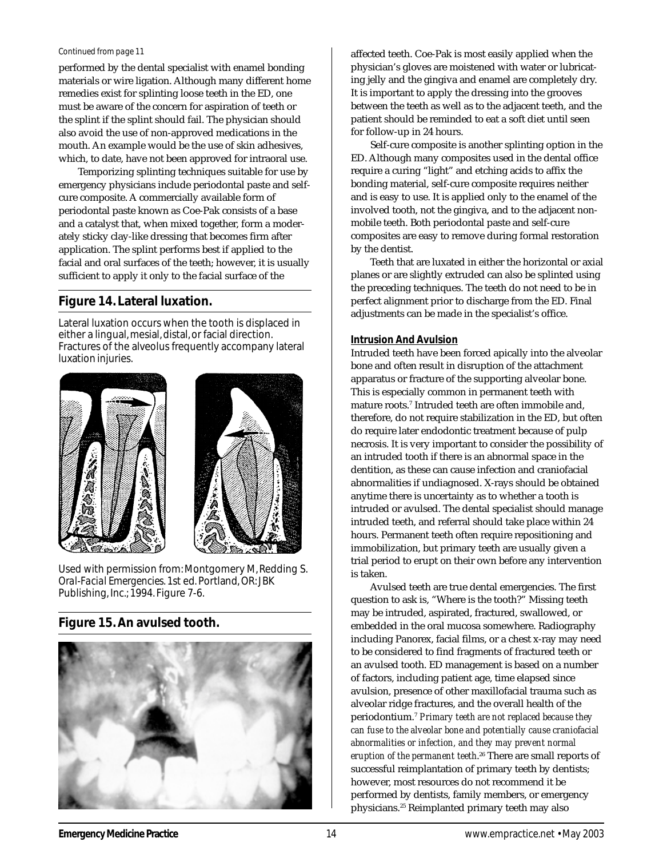#### *Continued from page 11*

performed by the dental specialist with enamel bonding materials or wire ligation. Although many different home remedies exist for splinting loose teeth in the ED, one must be aware of the concern for aspiration of teeth or the splint if the splint should fail. The physician should also avoid the use of non-approved medications in the mouth. An example would be the use of skin adhesives, which, to date, have not been approved for intraoral use.

Temporizing splinting techniques suitable for use by emergency physicians include periodontal paste and selfcure composite. A commercially available form of periodontal paste known as Coe-Pak consists of a base and a catalyst that, when mixed together, form a moderately sticky clay-like dressing that becomes firm after application. The splint performs best if applied to the facial and oral surfaces of the teeth; however, it is usually sufficient to apply it only to the facial surface of the

# **Figure 14. Lateral luxation.**

Lateral luxation occurs when the tooth is displaced in either a lingual, mesial, distal, or facial direction. Fractures of the alveolus frequently accompany lateral luxation injuries.

![](_page_13_Picture_5.jpeg)

![](_page_13_Picture_6.jpeg)

Used with permission from: Montgomery M, Redding S. *Oral-Facial Emergencies.* 1st ed. Portland, OR: JBK Publishing, Inc.; 1994. Figure 7-6.

# **Figure 15. An avulsed tooth.**

![](_page_13_Picture_9.jpeg)

affected teeth. Coe-Pak is most easily applied when the physician's gloves are moistened with water or lubricating jelly and the gingiva and enamel are completely dry. It is important to apply the dressing into the grooves between the teeth as well as to the adjacent teeth, and the patient should be reminded to eat a soft diet until seen for follow-up in 24 hours.

Self-cure composite is another splinting option in the ED. Although many composites used in the dental office require a curing "light" and etching acids to affix the bonding material, self-cure composite requires neither and is easy to use. It is applied only to the enamel of the involved tooth, not the gingiva, and to the adjacent nonmobile teeth. Both periodontal paste and self-cure composites are easy to remove during formal restoration by the dentist.

Teeth that are luxated in either the horizontal or axial planes or are slightly extruded can also be splinted using the preceding techniques. The teeth do not need to be in perfect alignment prior to discharge from the ED. Final adjustments can be made in the specialist's office.

## *Intrusion And Avulsion*

Intruded teeth have been forced apically into the alveolar bone and often result in disruption of the attachment apparatus or fracture of the supporting alveolar bone. This is especially common in permanent teeth with  $\,$ mature roots. $^{7}$  Intruded teeth are often i $\,$ mobile and,  $\,$ therefore, do not require stabilization in the ED, but often do require later endodontic treatment because of pulp necrosis. It is very important to consider the possibility of an intruded tooth if there is an abnormal space in the dentition, as these can cause infection and craniofacial abnormalities if undiagnosed. X-rays should be obtained anytime there is uncertainty as to whether a tooth is intruded or avulsed. The dental specialist should manage intruded teeth, and referral should take place within 24 hours. Permanent teeth often require repositioning and immobilization, but primary teeth are usually given a trial period to erupt on their own before any intervention is taken.

Avulsed teeth are true dental emergencies. The first question to ask is, "Where is the tooth?" Missing teeth may be intruded, aspirated, fractured, swallowed, or embedded in the oral mucosa somewhere. Radiography including Panorex, facial films, or a chest x-ray may need to be considered to find fragments of fractured teeth or an avulsed tooth. ED management is based on a number of factors, including patient age, time elapsed since avulsion, presence of other maxillofacial trauma such as alveolar ridge fractures, and the overall health of the periodontium.7 *Primary teeth are not replaced because they can fuse to the alveolar bone and potentially cause craniofacial abnormalities or infection, and they may prevent normal eruption of the permanent teeth*. 26 There are small reports of successful reimplantation of primary teeth by dentists; however, most resources do not recommend it be performed by dentists, family members, or emergency physicians.25 Reimplanted primary teeth may also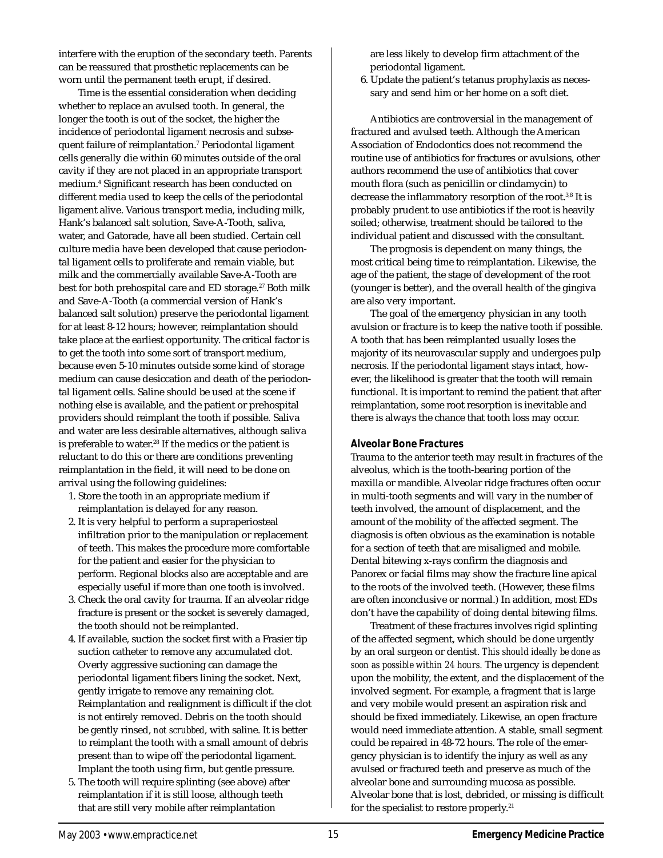interfere with the eruption of the secondary teeth. Parents can be reassured that prosthetic replacements can be worn until the permanent teeth erupt, if desired.

Time is the essential consideration when deciding whether to replace an avulsed tooth. In general, the longer the tooth is out of the socket, the higher the incidence of periodontal ligament necrosis and subsequent failure of reimplantation.7 Periodontal ligament cells generally die within 60 minutes outside of the oral cavity if they are not placed in an appropriate transport medium.4 Significant research has been conducted on different media used to keep the cells of the periodontal ligament alive. Various transport media, including milk, Hank's balanced salt solution, Save-A-Tooth, saliva, water, and Gatorade, have all been studied. Certain cell culture media have been developed that cause periodontal ligament cells to proliferate and remain viable, but milk and the commercially available Save-A-Tooth are best for both prehospital care and ED storage.<sup>27</sup> Both milk and Save-A-Tooth (a commercial version of Hank's balanced salt solution) preserve the periodontal ligament for at least 8-12 hours; however, reimplantation should take place at the earliest opportunity. The critical factor is to get the tooth into some sort of transport medium, because even 5-10 minutes outside some kind of storage medium can cause desiccation and death of the periodontal ligament cells. Saline should be used at the scene if nothing else is available, and the patient or prehospital providers should reimplant the tooth if possible. Saliva and water are less desirable alternatives, although saliva is preferable to water.<sup>28</sup> If the medics or the patient is reluctant to do this or there are conditions preventing reimplantation in the field, it will need to be done on arrival using the following guidelines:

- 1. Store the tooth in an appropriate medium if reimplantation is delayed for any reason.
- 2. It is very helpful to perform a supraperiosteal infiltration prior to the manipulation or replacement of teeth. This makes the procedure more comfortable for the patient and easier for the physician to perform. Regional blocks also are acceptable and are especially useful if more than one tooth is involved.
- 3. Check the oral cavity for trauma. If an alveolar ridge fracture is present or the socket is severely damaged, the tooth should not be reimplanted.
- 4. If available, suction the socket first with a Frasier tip suction catheter to remove any accumulated clot. Overly aggressive suctioning can damage the periodontal ligament fibers lining the socket. Next, gently irrigate to remove any remaining clot. Reimplantation and realignment is difficult if the clot is not entirely removed. Debris on the tooth should be gently rinsed, *not scrubbed*, with saline. It is better to reimplant the tooth with a small amount of debris present than to wipe off the periodontal ligament. Implant the tooth using firm, but gentle pressure.
- 5. The tooth will require splinting (see above) after reimplantation if it is still loose, although teeth that are still very mobile after reimplantation

are less likely to develop firm attachment of the periodontal ligament.

6. Update the patient's tetanus prophylaxis as necessary and send him or her home on a soft diet.

Antibiotics are controversial in the management of fractured and avulsed teeth. Although the American Association of Endodontics does not recommend the routine use of antibiotics for fractures or avulsions, other authors recommend the use of antibiotics that cover mouth flora (such as penicillin or clindamycin) to decrease the inflammatory resorption of the root.<sup>3,8</sup> It is probably prudent to use antibiotics if the root is heavily soiled; otherwise, treatment should be tailored to the individual patient and discussed with the consultant.

The prognosis is dependent on many things, the most critical being time to reimplantation. Likewise, the age of the patient, the stage of development of the root (younger is better), and the overall health of the gingiva are also very important.

The goal of the emergency physician in any tooth avulsion or fracture is to keep the native tooth if possible. A tooth that has been reimplanted usually loses the majority of its neurovascular supply and undergoes pulp necrosis. If the periodontal ligament stays intact, however, the likelihood is greater that the tooth will remain functional. It is important to remind the patient that after reimplantation, some root resorption is inevitable and there is always the chance that tooth loss may occur.

#### *Alveolar Bone Fractures*

Trauma to the anterior teeth may result in fractures of the alveolus, which is the tooth-bearing portion of the maxilla or mandible. Alveolar ridge fractures often occur in multi-tooth segments and will vary in the number of teeth involved, the amount of displacement, and the amount of the mobility of the affected segment. The diagnosis is often obvious as the examination is notable for a section of teeth that are misaligned and mobile. Dental bitewing x-rays confirm the diagnosis and Panorex or facial films may show the fracture line apical to the roots of the involved teeth. (However, these films are often inconclusive or normal.) In addition, most EDs don't have the capability of doing dental bitewing films.

Treatment of these fractures involves rigid splinting of the affected segment, which should be done urgently by an oral surgeon or dentist. *This should ideally be done as soon as possible within 24 hours.* The urgency is dependent upon the mobility, the extent, and the displacement of the involved segment. For example, a fragment that is large and very mobile would present an aspiration risk and should be fixed immediately. Likewise, an open fracture would need immediate attention. A stable, small segment could be repaired in 48-72 hours. The role of the emergency physician is to identify the injury as well as any avulsed or fractured teeth and preserve as much of the alveolar bone and surrounding mucosa as possible. Alveolar bone that is lost, debrided, or missing is difficult for the specialist to restore properly.<sup>21</sup>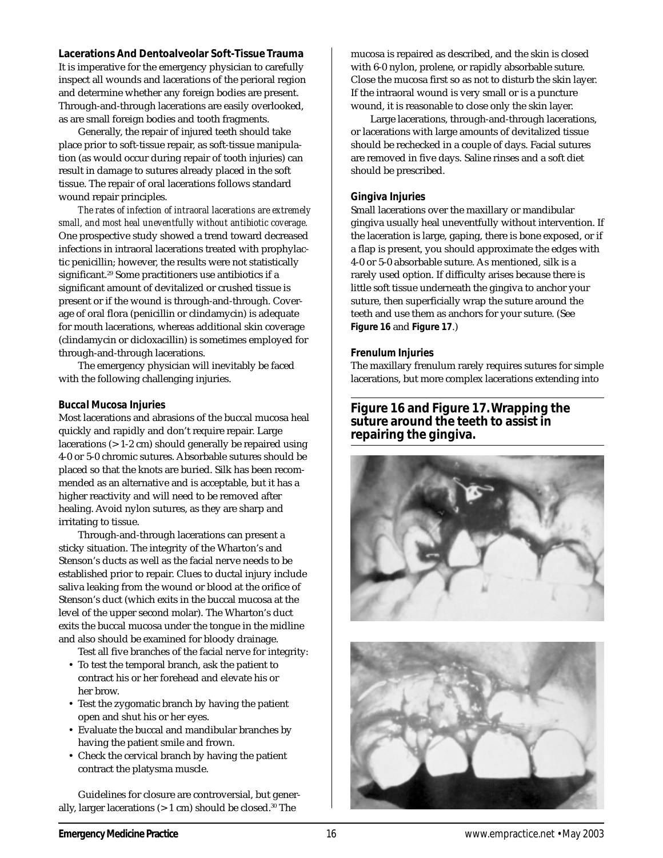#### **Lacerations And Dentoalveolar Soft-Tissue Trauma**

It is imperative for the emergency physician to carefully inspect all wounds and lacerations of the perioral region and determine whether any foreign bodies are present. Through-and-through lacerations are easily overlooked, as are small foreign bodies and tooth fragments.

Generally, the repair of injured teeth should take place prior to soft-tissue repair, as soft-tissue manipulation (as would occur during repair of tooth injuries) can result in damage to sutures already placed in the soft tissue. The repair of oral lacerations follows standard wound repair principles.

*The rates of infection of intraoral lacerations are extremely small, and most heal uneventfully without antibiotic coverage.* One prospective study showed a trend toward decreased infections in intraoral lacerations treated with prophylactic penicillin; however, the results were not statistically significant.<sup>29</sup> Some practitioners use antibiotics if a significant amount of devitalized or crushed tissue is present or if the wound is through-and-through. Coverage of oral flora (penicillin or clindamycin) is adequate for mouth lacerations, whereas additional skin coverage (clindamycin or dicloxacillin) is sometimes employed for through-and-through lacerations.

The emergency physician will inevitably be faced with the following challenging injuries.

#### *Buccal Mucosa Injuries*

Most lacerations and abrasions of the buccal mucosa heal quickly and rapidly and don't require repair. Large lacerations (> 1-2 cm) should generally be repaired using 4-0 or 5-0 chromic sutures. Absorbable sutures should be placed so that the knots are buried. Silk has been recommended as an alternative and is acceptable, but it has a higher reactivity and will need to be removed after healing. Avoid nylon sutures, as they are sharp and irritating to tissue.

Through-and-through lacerations can present a sticky situation. The integrity of the Wharton's and Stenson's ducts as well as the facial nerve needs to be established prior to repair. Clues to ductal injury include saliva leaking from the wound or blood at the orifice of Stenson's duct (which exits in the buccal mucosa at the level of the upper second molar). The Wharton's duct exits the buccal mucosa under the tongue in the midline and also should be examined for bloody drainage.

Test all five branches of the facial nerve for integrity:

- To test the temporal branch, ask the patient to contract his or her forehead and elevate his or her brow.
- Test the zygomatic branch by having the patient open and shut his or her eyes.
- Evaluate the buccal and mandibular branches by having the patient smile and frown.
- Check the cervical branch by having the patient contract the platysma muscle.

Guidelines for closure are controversial, but generally, larger lacerations  $(> 1 \text{ cm})$  should be closed.<sup>30</sup> The

mucosa is repaired as described, and the skin is closed with 6-0 nylon, prolene, or rapidly absorbable suture. Close the mucosa first so as not to disturb the skin layer. If the intraoral wound is very small or is a puncture wound, it is reasonable to close only the skin layer.

Large lacerations, through-and-through lacerations, or lacerations with large amounts of devitalized tissue should be rechecked in a couple of days. Facial sutures are removed in five days. Saline rinses and a soft diet should be prescribed.

#### *Gingiva Injuries*

Small lacerations over the maxillary or mandibular gingiva usually heal uneventfully without intervention. If the laceration is large, gaping, there is bone exposed, or if a flap is present, you should approximate the edges with 4-0 or 5-0 absorbable suture. As mentioned, silk is a rarely used option. If difficulty arises because there is little soft tissue underneath the gingiva to anchor your suture, then superficially wrap the suture around the teeth and use them as anchors for your suture. (See **Figure 16** and **Figure 17**.)

#### *Frenulum Injuries*

The maxillary frenulum rarely requires sutures for simple lacerations, but more complex lacerations extending into

## **Figure 16 and Figure 17. Wrapping the suture around the teeth to assist in repairing the gingiva.**

![](_page_15_Picture_21.jpeg)

![](_page_15_Picture_22.jpeg)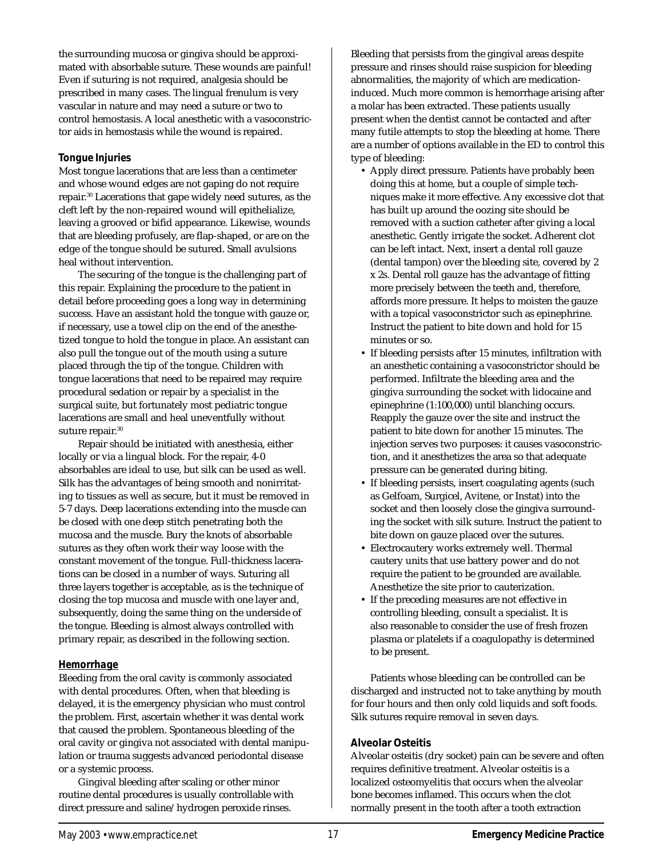the surrounding mucosa or gingiva should be approximated with absorbable suture. These wounds are painful! Even if suturing is not required, analgesia should be prescribed in many cases. The lingual frenulum is very vascular in nature and may need a suture or two to control hemostasis. A local anesthetic with a vasoconstrictor aids in hemostasis while the wound is repaired.

#### *Tongue Injuries*

Most tongue lacerations that are less than a centimeter and whose wound edges are not gaping do not require repair.30 Lacerations that gape widely need sutures, as the cleft left by the non-repaired wound will epithelialize, leaving a grooved or bifid appearance. Likewise, wounds that are bleeding profusely, are flap-shaped, or are on the edge of the tongue should be sutured. Small avulsions heal without intervention.

The securing of the tongue is the challenging part of this repair. Explaining the procedure to the patient in detail before proceeding goes a long way in determining success. Have an assistant hold the tongue with gauze or, if necessary, use a towel clip on the end of the anesthetized tongue to hold the tongue in place. An assistant can also pull the tongue out of the mouth using a suture placed through the tip of the tongue. Children with tongue lacerations that need to be repaired may require procedural sedation or repair by a specialist in the surgical suite, but fortunately most pediatric tongue lacerations are small and heal uneventfully without suture repair.<sup>30</sup>

Repair should be initiated with anesthesia, either locally or via a lingual block. For the repair, 4-0 absorbables are ideal to use, but silk can be used as well. Silk has the advantages of being smooth and nonirritating to tissues as well as secure, but it must be removed in 5-7 days. Deep lacerations extending into the muscle can be closed with one deep stitch penetrating both the mucosa and the muscle. Bury the knots of absorbable sutures as they often work their way loose with the constant movement of the tongue. Full-thickness lacerations can be closed in a number of ways. Suturing all three layers together is acceptable, as is the technique of closing the top mucosa and muscle with one layer and, subsequently, doing the same thing on the underside of the tongue. Bleeding is almost always controlled with primary repair, as described in the following section.

#### *Hemorrhage*

Bleeding from the oral cavity is commonly associated with dental procedures. Often, when that bleeding is delayed, it is the emergency physician who must control the problem. First, ascertain whether it was dental work that caused the problem. Spontaneous bleeding of the oral cavity or gingiva not associated with dental manipulation or trauma suggests advanced periodontal disease or a systemic process.

Gingival bleeding after scaling or other minor routine dental procedures is usually controllable with direct pressure and saline/hydrogen peroxide rinses.

Bleeding that persists from the gingival areas despite pressure and rinses should raise suspicion for bleeding abnormalities, the majority of which are medicationinduced. Much more common is hemorrhage arising after a molar has been extracted. These patients usually present when the dentist cannot be contacted and after many futile attempts to stop the bleeding at home. There are a number of options available in the ED to control this type of bleeding:

- Apply direct pressure. Patients have probably been doing this at home, but a couple of simple techniques make it more effective. Any excessive clot that has built up around the oozing site should be removed with a suction catheter after giving a local anesthetic. Gently irrigate the socket. Adherent clot can be left intact. Next, insert a dental roll gauze (dental tampon) over the bleeding site, covered by 2 x 2s. Dental roll gauze has the advantage of fitting more precisely between the teeth and, therefore, affords more pressure. It helps to moisten the gauze with a topical vasoconstrictor such as epinephrine. Instruct the patient to bite down and hold for 15 minutes or so.
- If bleeding persists after 15 minutes, infiltration with an anesthetic containing a vasoconstrictor should be performed. Infiltrate the bleeding area and the gingiva surrounding the socket with lidocaine and epinephrine (1:100,000) until blanching occurs. Reapply the gauze over the site and instruct the patient to bite down for another 15 minutes. The injection serves two purposes: it causes vasoconstriction, and it anesthetizes the area so that adequate pressure can be generated during biting.
- If bleeding persists, insert coagulating agents (such as Gelfoam, Surgicel, Avitene, or Instat) into the socket and then loosely close the gingiva surrounding the socket with silk suture. Instruct the patient to bite down on gauze placed over the sutures.
- Electrocautery works extremely well. Thermal cautery units that use battery power and do not require the patient to be grounded are available. Anesthetize the site prior to cauterization.
- If the preceding measures are not effective in controlling bleeding, consult a specialist. It is also reasonable to consider the use of fresh frozen plasma or platelets if a coagulopathy is determined to be present.

Patients whose bleeding can be controlled can be discharged and instructed not to take anything by mouth for four hours and then only cold liquids and soft foods. Silk sutures require removal in seven days.

#### **Alveolar Osteitis**

Alveolar osteitis (dry socket) pain can be severe and often requires definitive treatment. Alveolar osteitis is a localized osteomyelitis that occurs when the alveolar bone becomes inflamed. This occurs when the clot normally present in the tooth after a tooth extraction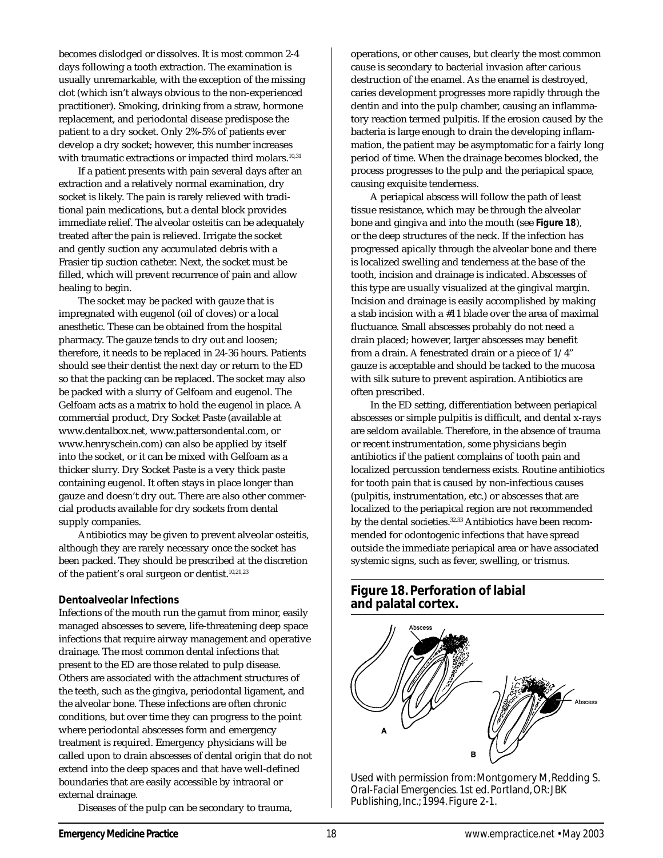becomes dislodged or dissolves. It is most common 2-4 days following a tooth extraction. The examination is usually unremarkable, with the exception of the missing clot (which isn't always obvious to the non-experienced practitioner). Smoking, drinking from a straw, hormone replacement, and periodontal disease predispose the patient to a dry socket. Only 2%-5% of patients ever develop a dry socket; however, this number increases with traumatic extractions or impacted third molars.<sup>10,31</sup>

If a patient presents with pain several days after an extraction and a relatively normal examination, dry socket is likely. The pain is rarely relieved with traditional pain medications, but a dental block provides immediate relief. The alveolar osteitis can be adequately treated after the pain is relieved. Irrigate the socket and gently suction any accumulated debris with a Frasier tip suction catheter. Next, the socket must be filled, which will prevent recurrence of pain and allow healing to begin.

The socket may be packed with gauze that is impregnated with eugenol (oil of cloves) or a local anesthetic. These can be obtained from the hospital pharmacy. The gauze tends to dry out and loosen; therefore, it needs to be replaced in 24-36 hours. Patients should see their dentist the next day or return to the ED so that the packing can be replaced. The socket may also be packed with a slurry of Gelfoam and eugenol. The Gelfoam acts as a matrix to hold the eugenol in place. A commercial product, Dry Socket Paste (available at www.dentalbox.net, www.pattersondental.com, or www.henryschein.com) can also be applied by itself into the socket, or it can be mixed with Gelfoam as a thicker slurry. Dry Socket Paste is a very thick paste containing eugenol. It often stays in place longer than gauze and doesn't dry out. There are also other commercial products available for dry sockets from dental supply companies.

Antibiotics may be given to prevent alveolar osteitis, although they are rarely necessary once the socket has been packed. They should be prescribed at the discretion of the patient's oral surgeon or dentist. $10,21,23$ 

#### **Dentoalveolar Infections**

Infections of the mouth run the gamut from minor, easily managed abscesses to severe, life-threatening deep space infections that require airway management and operative drainage. The most common dental infections that present to the ED are those related to pulp disease. Others are associated with the attachment structures of the teeth, such as the gingiva, periodontal ligament, and the alveolar bone. These infections are often chronic conditions, but over time they can progress to the point where periodontal abscesses form and emergency treatment is required. Emergency physicians will be called upon to drain abscesses of dental origin that do not extend into the deep spaces and that have well-defined boundaries that are easily accessible by intraoral or external drainage.

Diseases of the pulp can be secondary to trauma,

operations, or other causes, but clearly the most common cause is secondary to bacterial invasion after carious destruction of the enamel. As the enamel is destroyed, caries development progresses more rapidly through the dentin and into the pulp chamber, causing an inflammatory reaction termed pulpitis. If the erosion caused by the bacteria is large enough to drain the developing inflammation, the patient may be asymptomatic for a fairly long period of time. When the drainage becomes blocked, the process progresses to the pulp and the periapical space, causing exquisite tenderness.

A periapical abscess will follow the path of least tissue resistance, which may be through the alveolar bone and gingiva and into the mouth (see **Figure 18**), or the deep structures of the neck. If the infection has progressed apically through the alveolar bone and there is localized swelling and tenderness at the base of the tooth, incision and drainage is indicated. Abscesses of this type are usually visualized at the gingival margin. Incision and drainage is easily accomplished by making a stab incision with a #11 blade over the area of maximal fluctuance. Small abscesses probably do not need a drain placed; however, larger abscesses may benefit from a drain. A fenestrated drain or a piece of 1/4" gauze is acceptable and should be tacked to the mucosa with silk suture to prevent aspiration. Antibiotics are often prescribed.

In the ED setting, differentiation between periapical abscesses or simple pulpitis is difficult, and dental x-rays are seldom available. Therefore, in the absence of trauma or recent instrumentation, some physicians begin antibiotics if the patient complains of tooth pain and localized percussion tenderness exists. Routine antibiotics for tooth pain that is caused by non-infectious causes (pulpitis, instrumentation, etc.) or abscesses that are localized to the periapical region are not recommended by the dental societies.<sup>32,33</sup> Antibiotics have been recommended for odontogenic infections that have spread outside the immediate periapical area or have associated systemic signs, such as fever, swelling, or trismus.

## **Figure 18. Perforation of labial and palatal cortex.**

![](_page_17_Picture_11.jpeg)

Used with permission from: Montgomery M, Redding S. *Oral-Facial Emergencies.* 1st ed. Portland, OR: JBK Publishing, Inc.; 1994. Figure 2-1.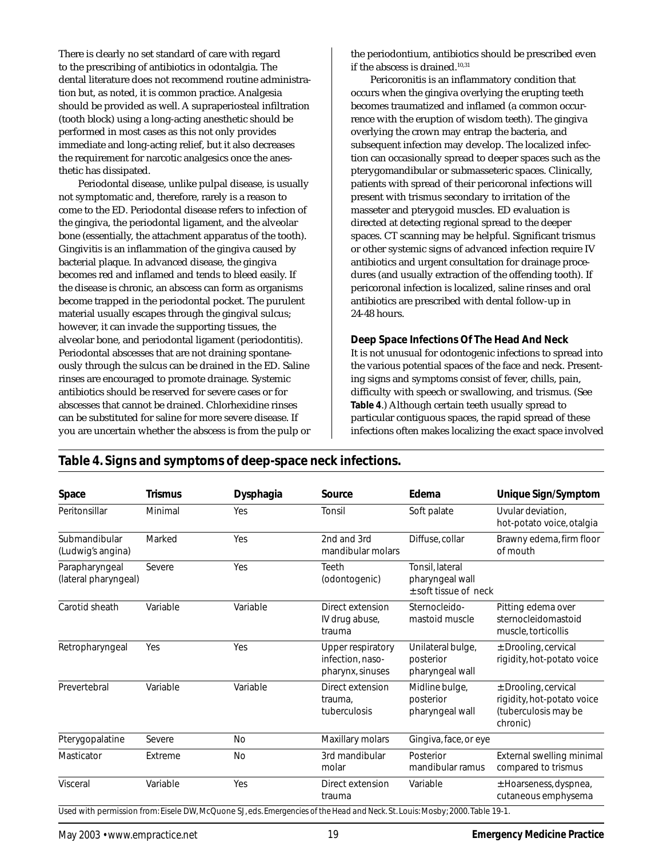There is clearly no set standard of care with regard to the prescribing of antibiotics in odontalgia. The dental literature does not recommend routine administration but, as noted, it is common practice. Analgesia should be provided as well. A supraperiosteal infiltration (tooth block) using a long-acting anesthetic should be performed in most cases as this not only provides immediate and long-acting relief, but it also decreases the requirement for narcotic analgesics once the anesthetic has dissipated.

Periodontal disease, unlike pulpal disease, is usually not symptomatic and, therefore, rarely is a reason to come to the ED. Periodontal disease refers to infection of the gingiva, the periodontal ligament, and the alveolar bone (essentially, the attachment apparatus of the tooth). Gingivitis is an inflammation of the gingiva caused by bacterial plaque. In advanced disease, the gingiva becomes red and inflamed and tends to bleed easily. If the disease is chronic, an abscess can form as organisms become trapped in the periodontal pocket. The purulent material usually escapes through the gingival sulcus; however, it can invade the supporting tissues, the alveolar bone, and periodontal ligament (periodontitis). Periodontal abscesses that are not draining spontaneously through the sulcus can be drained in the ED. Saline rinses are encouraged to promote drainage. Systemic antibiotics should be reserved for severe cases or for abscesses that cannot be drained. Chlorhexidine rinses can be substituted for saline for more severe disease. If you are uncertain whether the abscess is from the pulp or the periodontium, antibiotics should be prescribed even if the abscess is drained.<sup>10,31</sup>

Pericoronitis is an inflammatory condition that occurs when the gingiva overlying the erupting teeth becomes traumatized and inflamed (a common occurrence with the eruption of wisdom teeth). The gingiva overlying the crown may entrap the bacteria, and subsequent infection may develop. The localized infection can occasionally spread to deeper spaces such as the pterygomandibular or submasseteric spaces. Clinically, patients with spread of their pericoronal infections will present with trismus secondary to irritation of the masseter and pterygoid muscles. ED evaluation is directed at detecting regional spread to the deeper spaces. CT scanning may be helpful. Significant trismus or other systemic signs of advanced infection require IV antibiotics and urgent consultation for drainage procedures (and usually extraction of the offending tooth). If pericoronal infection is localized, saline rinses and oral antibiotics are prescribed with dental follow-up in 24-48 hours.

#### **Deep Space Infections Of The Head And Neck**

It is not unusual for odontogenic infections to spread into the various potential spaces of the face and neck. Presenting signs and symptoms consist of fever, chills, pain, difficulty with speech or swallowing, and trismus. (See **Table 4**.) Although certain teeth usually spread to particular contiguous spaces, the rapid spread of these infections often makes localizing the exact space involved

| Space                                  | Trismus  | Dysphagia | Source                                                    | Edema                                                         | Unique Sign/Symptom                                                                      |
|----------------------------------------|----------|-----------|-----------------------------------------------------------|---------------------------------------------------------------|------------------------------------------------------------------------------------------|
| Peritonsillar                          | Minimal  | Yes       | Tonsil                                                    | Soft palate                                                   | Uvular deviation.<br>hot-potato voice, otalgia                                           |
| Submandibular<br>(Ludwig's angina)     | Marked   | Yes       | 2nd and 3rd<br>mandibular molars                          | Diffuse, collar                                               | Brawny edema, firm floor<br>of mouth                                                     |
| Parapharyngeal<br>(lateral pharyngeal) | Severe   | Yes       | Teeth<br>(odontogenic)                                    | Tonsil, lateral<br>pharyngeal wall<br>$±$ soft tissue of neck |                                                                                          |
| Carotid sheath                         | Variable | Variable  | Direct extension<br>IV drug abuse,<br>trauma              | Sternocleido-<br>mastoid muscle                               | Pitting edema over<br>sternocleidomastoid<br>muscle, torticollis                         |
| Retropharyngeal                        | Yes      | Yes       | Upper respiratory<br>infection, naso-<br>pharynx, sinuses | Unilateral bulge,<br>posterior<br>pharyngeal wall             | ± Drooling, cervical<br>rigidity, hot-potato voice                                       |
| Prevertebral                           | Variable | Variable  | Direct extension<br>trauma.<br>tuberculosis               | Midline bulge,<br>posterior<br>pharyngeal wall                | $±$ Drooling, cervical<br>rigidity, hot-potato voice<br>(tuberculosis may be<br>chronic) |
| Pterygopalatine                        | Severe   | No        | Maxillary molars                                          | Gingiva, face, or eye                                         |                                                                                          |
| Masticator                             | Extreme  | No        | 3rd mandibular<br>molar                                   | Posterior<br>mandibular ramus                                 | External swelling minimal<br>compared to trismus                                         |
| Visceral                               | Variable | Yes       | Direct extension<br>trauma                                | Variable                                                      | $±$ Hoarseness, dyspnea,<br>cutaneous emphysema                                          |

## **Table 4. Signs and symptoms of deep-space neck infections.**

Used with permission from: Eisele DW, McQuone SJ, eds. *Emergencies of the Head and Neck.* St. Louis: Mosby; 2000. Table 19-1.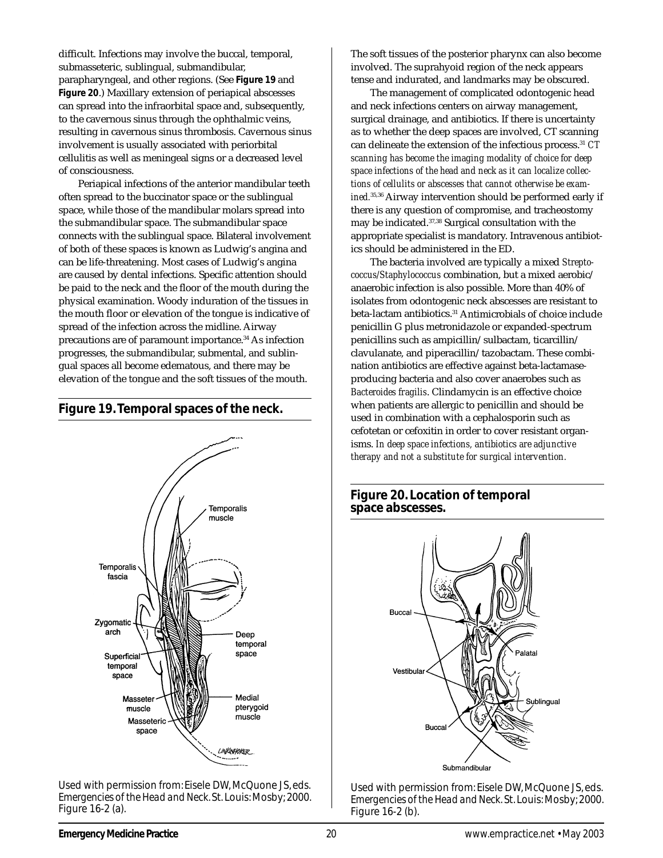difficult. Infections may involve the buccal, temporal, submasseteric, sublingual, submandibular, parapharyngeal, and other regions. (See **Figure 19** and **Figure 20**.) Maxillary extension of periapical abscesses can spread into the infraorbital space and, subsequently, to the cavernous sinus through the ophthalmic veins, resulting in cavernous sinus thrombosis. Cavernous sinus involvement is usually associated with periorbital cellulitis as well as meningeal signs or a decreased level of consciousness.

Periapical infections of the anterior mandibular teeth often spread to the buccinator space or the sublingual space, while those of the mandibular molars spread into the submandibular space. The submandibular space connects with the sublingual space. Bilateral involvement of both of these spaces is known as Ludwig's angina and can be life-threatening. Most cases of Ludwig's angina are caused by dental infections. Specific attention should be paid to the neck and the floor of the mouth during the physical examination. Woody induration of the tissues in the mouth floor or elevation of the tongue is indicative of spread of the infection across the midline. Airway precautions are of paramount importance.<sup>34</sup> As infection progresses, the submandibular, submental, and sublingual spaces all become edematous, and there may be elevation of the tongue and the soft tissues of the mouth.

#### **Figure 19. Temporal spaces of the neck.**

![](_page_19_Figure_3.jpeg)

Used with permission from: Eisele DW, McQuone JS, eds. *Emergencies of the Head and Neck.* St. Louis: Mosby; 2000. Figure 16-2 (a).

The soft tissues of the posterior pharynx can also become involved. The suprahyoid region of the neck appears tense and indurated, and landmarks may be obscured.

The management of complicated odontogenic head and neck infections centers on airway management, surgical drainage, and antibiotics. If there is uncertainty as to whether the deep spaces are involved, CT scanning can delineate the extension of the infectious process.31 *CT scanning has become the imaging modality of choice for deep space infections of the head and neck as it can localize collections of cellulits or abscesses that cannot otherwise be examined.*35,36 Airway intervention should be performed early if there is any question of compromise, and tracheostomy may be indicated.37,38 Surgical consultation with the appropriate specialist is mandatory. Intravenous antibiotics should be administered in the ED.

The bacteria involved are typically a mixed *Streptococcus/Staphylococcus* combination, but a mixed aerobic/ anaerobic infection is also possible. More than 40% of isolates from odontogenic neck abscesses are resistant to beta-lactam antibiotics.31 Antimicrobials of choice include penicillin G plus metronidazole or expanded-spectrum penicillins such as ampicillin/sulbactam, ticarcillin/ clavulanate, and piperacillin/tazobactam. These combination antibiotics are effective against beta-lactamaseproducing bacteria and also cover anaerobes such as *Bacteroides fragilis*. Clindamycin is an effective choice when patients are allergic to penicillin and should be used in combination with a cephalosporin such as cefotetan or cefoxitin in order to cover resistant organisms. *In deep space infections, antibiotics are adjunctive therapy and not a substitute for surgical intervention.*

## **Figure 20. Location of temporal space abscesses.**

![](_page_19_Figure_9.jpeg)

Used with permission from: Eisele DW, McQuone JS, eds. *Emergencies of the Head and Neck.* St. Louis: Mosby; 2000. Figure 16-2 (b).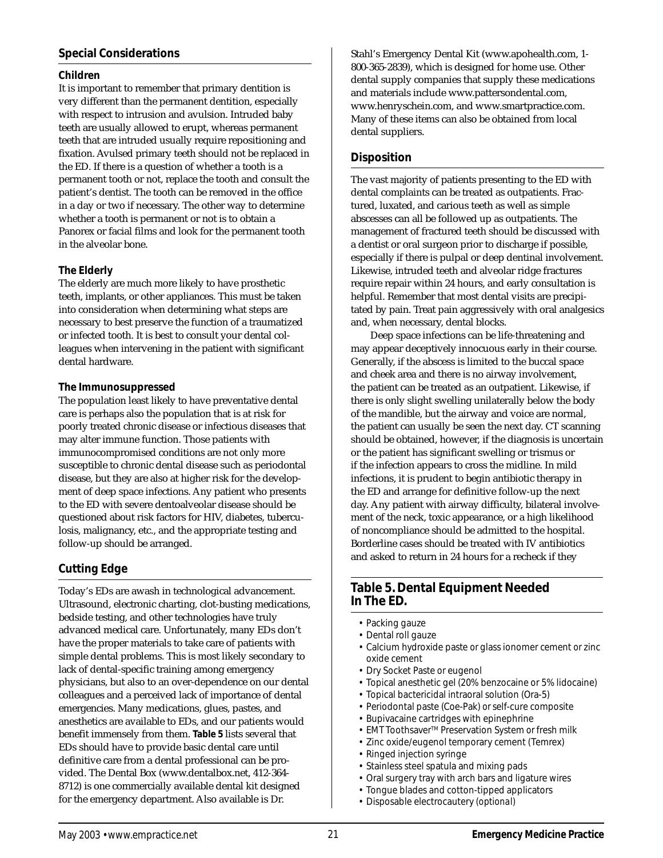## **Special Considerations**

#### **Children**

It is important to remember that primary dentition is very different than the permanent dentition, especially with respect to intrusion and avulsion. Intruded baby teeth are usually allowed to erupt, whereas permanent teeth that are intruded usually require repositioning and fixation. Avulsed primary teeth should not be replaced in the ED. If there is a question of whether a tooth is a permanent tooth or not, replace the tooth and consult the patient's dentist. The tooth can be removed in the office in a day or two if necessary. The other way to determine whether a tooth is permanent or not is to obtain a Panorex or facial films and look for the permanent tooth in the alveolar bone.

## **The Elderly**

The elderly are much more likely to have prosthetic teeth, implants, or other appliances. This must be taken into consideration when determining what steps are necessary to best preserve the function of a traumatized or infected tooth. It is best to consult your dental colleagues when intervening in the patient with significant dental hardware.

## **The Immunosuppressed**

The population least likely to have preventative dental care is perhaps also the population that is at risk for poorly treated chronic disease or infectious diseases that may alter immune function. Those patients with immunocompromised conditions are not only more susceptible to chronic dental disease such as periodontal disease, but they are also at higher risk for the development of deep space infections. Any patient who presents to the ED with severe dentoalveolar disease should be questioned about risk factors for HIV, diabetes, tuberculosis, malignancy, etc., and the appropriate testing and follow-up should be arranged.

# **Cutting Edge**

Today's EDs are awash in technological advancement. Ultrasound, electronic charting, clot-busting medications, bedside testing, and other technologies have truly advanced medical care. Unfortunately, many EDs don't have the proper materials to take care of patients with simple dental problems. This is most likely secondary to lack of dental-specific training among emergency physicians, but also to an over-dependence on our dental colleagues and a perceived lack of importance of dental emergencies. Many medications, glues, pastes, and anesthetics are available to EDs, and our patients would benefit immensely from them. **Table 5** lists several that EDs should have to provide basic dental care until definitive care from a dental professional can be provided. The Dental Box (www.dentalbox.net, 412-364- 8712) is one commercially available dental kit designed for the emergency department. Also available is Dr.

Stahl's Emergency Dental Kit (www.apohealth.com, 1- 800-365-2839), which is designed for home use. Other dental supply companies that supply these medications and materials include www.pattersondental.com, www.henryschein.com, and www.smartpractice.com. Many of these items can also be obtained from local dental suppliers.

## **Disposition**

The vast majority of patients presenting to the ED with dental complaints can be treated as outpatients. Fractured, luxated, and carious teeth as well as simple abscesses can all be followed up as outpatients. The management of fractured teeth should be discussed with a dentist or oral surgeon prior to discharge if possible, especially if there is pulpal or deep dentinal involvement. Likewise, intruded teeth and alveolar ridge fractures require repair within 24 hours, and early consultation is helpful. Remember that most dental visits are precipitated by pain. Treat pain aggressively with oral analgesics and, when necessary, dental blocks.

Deep space infections can be life-threatening and may appear deceptively innocuous early in their course. Generally, if the abscess is limited to the buccal space and cheek area and there is no airway involvement, the patient can be treated as an outpatient. Likewise, if there is only slight swelling unilaterally below the body of the mandible, but the airway and voice are normal, the patient can usually be seen the next day. CT scanning should be obtained, however, if the diagnosis is uncertain or the patient has significant swelling or trismus or if the infection appears to cross the midline. In mild infections, it is prudent to begin antibiotic therapy in the ED and arrange for definitive follow-up the next day. Any patient with airway difficulty, bilateral involvement of the neck, toxic appearance, or a high likelihood of noncompliance should be admitted to the hospital. Borderline cases should be treated with IV antibiotics and asked to return in 24 hours for a recheck if they

## **Table 5. Dental Equipment Needed In The ED.**

- Packing gauze
- Dental roll gauze
- Calcium hydroxide paste *or* glass ionomer cement *or* zinc oxide cement
- Dry Socket Paste *or* eugenol
- Topical anesthetic gel (20% benzocaine or 5% lidocaine)
- Topical bactericidal intraoral solution (Ora-5)
- Periodontal paste (Coe-Pak) *or* self-cure composite
- Bupivacaine cartridges with epinephrine
- EMT ToothsaverTM Preservation System *or* fresh milk
- Zinc oxide/eugenol temporary cement (Temrex)
- Ringed injection syringe
- Stainless steel spatula and mixing pads
- Oral surgery tray with arch bars and ligature wires
- Tongue blades and cotton-tipped applicators
- Disposable electrocautery *(optional)*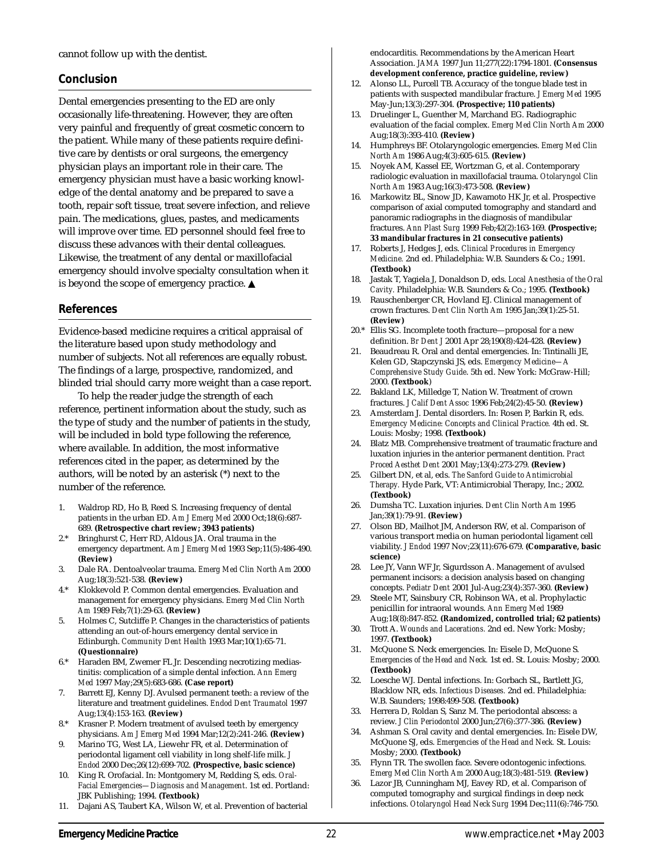cannot follow up with the dentist.

## **Conclusion**

Dental emergencies presenting to the ED are only occasionally life-threatening. However, they are often very painful and frequently of great cosmetic concern to the patient. While many of these patients require definitive care by dentists or oral surgeons, the emergency physician plays an important role in their care. The emergency physician must have a basic working knowledge of the dental anatomy and be prepared to save a tooth, repair soft tissue, treat severe infection, and relieve pain. The medications, glues, pastes, and medicaments will improve over time. ED personnel should feel free to discuss these advances with their dental colleagues. Likewise, the treatment of any dental or maxillofacial emergency should involve specialty consultation when it is beyond the scope of emergency practice. ▲

#### **References**

Evidence-based medicine requires a critical appraisal of the literature based upon study methodology and number of subjects. Not all references are equally robust. The findings of a large, prospective, randomized, and blinded trial should carry more weight than a case report.

To help the reader judge the strength of each reference, pertinent information about the study, such as the type of study and the number of patients in the study, will be included in bold type following the reference, where available. In addition, the most informative references cited in the paper, as determined by the authors, will be noted by an asterisk (\*) next to the number of the reference.

- 1. Waldrop RD, Ho B, Reed S. Increasing frequency of dental patients in the urban ED. *Am J Emerg Med* 2000 Oct;18(6):687- 689. **(Retrospective chart review; 3943 patients)**
- 2.\* Bringhurst C, Herr RD, Aldous JA. Oral trauma in the emergency department. *Am J Emerg Med* 1993 Sep;11(5):486-490. **(Review)**
- 3. Dale RA. Dentoalveolar trauma. *Emerg Med Clin North Am* 2000 Aug;18(3):521-538. **(Review)**
- 4.\* Klokkevold P. Common dental emergencies. Evaluation and management for emergency physicians. *Emerg Med Clin North Am* 1989 Feb;7(1):29-63. **(Review)**
- 5. Holmes C, Sutcliffe P. Changes in the characteristics of patients attending an out-of-hours emergency dental service in Edinburgh. *Community Dent Health* 1993 Mar;10(1):65-71. **(Questionnaire)**
- 6.\* Haraden BM, Zwemer FL Jr. Descending necrotizing mediastinitis: complication of a simple dental infection. *Ann Emerg Med* 1997 May;29(5):683-686. **(Case report)**
- 7. Barrett EJ, Kenny DJ. Avulsed permanent teeth: a review of the literature and treatment guidelines. *Endod Dent Traumatol* 1997 Aug;13(4):153-163. **(Review)**
- 8.\* Krasner P. Modern treatment of avulsed teeth by emergency physicians. *Am J Emerg Med* 1994 Mar;12(2):241-246. **(Review)**
- 9. Marino TG, West LA, Liewehr FR, et al. Determination of periodontal ligament cell viability in long shelf-life milk. *J Endod* 2000 Dec;26(12):699-702. **(Prospective, basic science)**
- 10. King R. Orofacial. In: Montgomery M, Redding S, eds. *Oral-Facial Emergencies—Diagnosis and Management*. 1st ed. Portland: JBK Publishing; 1994. **(Textbook)**
- 11. Dajani AS, Taubert KA, Wilson W, et al. Prevention of bacterial

endocarditis. Recommendations by the American Heart Association. *JAMA* 1997 Jun 11;277(22):1794-1801. **(Consensus development conference, practice guideline, review)**

- 12. Alonso LL, Purcell TB. Accuracy of the tongue blade test in patients with suspected mandibular fracture. *J Emerg Med* 1995 May-Jun;13(3):297-304. **(Prospective; 110 patients)**
- 13. Druelinger L, Guenther M, Marchand EG. Radiographic evaluation of the facial complex. *Emerg Med Clin North Am* 2000 Aug;18(3):393-410. **(Review)**
- 14. Humphreys BF. Otolaryngologic emergencies. *Emerg Med Clin North Am* 1986 Aug;4(3):605-615. **(Review)**
- 15. Noyek AM, Kassel EE, Wortzman G, et al. Contemporary radiologic evaluation in maxillofacial trauma. *Otolaryngol Clin North Am* 1983 Aug;16(3):473-508. **(Review)**
- 16. Markowitz BL, Sinow JD, Kawamoto HK Jr, et al. Prospective comparison of axial computed tomography and standard and panoramic radiographs in the diagnosis of mandibular fractures. *Ann Plast Surg* 1999 Feb;42(2):163-169. **(Prospective; 33 mandibular fractures in 21 consecutive patients)**
- 17. Roberts J, Hedges J, eds. *Clinical Procedures in Emergency Medicine.* 2nd ed. Philadelphia: W.B. Saunders & Co.; 1991. **(Textbook)**
- 18. Jastak T, Yagiela J, Donaldson D, eds. *Local Anesthesia of the Oral Cavity.* Philadelphia: W.B. Saunders & Co.; 1995. **(Textbook)**
- 19. Rauschenberger CR, Hovland EJ. Clinical management of crown fractures. *Dent Clin North Am* 1995 Jan;39(1):25-51. **(Review)**
- 20.\* Ellis SG. Incomplete tooth fracture—proposal for a new definition. *Br Dent J* 2001 Apr 28;190(8):424-428. **(Review)**
- 21. Beaudreau R. Oral and dental emergencies. In: Tintinalli JE, Kelen GD, Stapczynski JS, eds. *Emergency Medicine—A Comprehensive Study Guide*. 5th ed. New York: McGraw-Hill; 2000. **(Textbook**)
- 22. Bakland LK, Milledge T, Nation W. Treatment of crown fractures. *J Calif Dent Assoc* 1996 Feb;24(2):45-50. **(Review)**
- 23. Amsterdam J. Dental disorders. In: Rosen P, Barkin R, eds. *Emergency Medicine: Concepts and Clinical Practice.* 4th ed. St. Louis: Mosby; 1998. **(Textbook)**
- 24. Blatz MB. Comprehensive treatment of traumatic fracture and luxation injuries in the anterior permanent dentition. *Pract Proced Aesthet Dent* 2001 May;13(4):273-279. **(Review)**
- 25. Gilbert DN, et al, eds. *The Sanford Guide to Antimicrobial Therapy.* Hyde Park, VT: Antimicrobial Therapy, Inc.; 2002. **(Textbook)**
- 26. Dumsha TC. Luxation injuries. *Dent Clin North Am* 1995 Jan;39(1):79-91. **(Review)**
- 27. Olson BD, Mailhot JM, Anderson RW, et al. Comparison of various transport media on human periodontal ligament cell viability. *J Endod* 1997 Nov;23(11):676-679. **(Comparative, basic science)**
- 28. Lee JY, Vann WF Jr, Sigurdsson A. Management of avulsed permanent incisors: a decision analysis based on changing concepts. *Pediatr Dent* 2001 Jul-Aug;23(4):357-360. **(Review)**
- 29. Steele MT, Sainsbury CR, Robinson WA, et al. Prophylactic penicillin for intraoral wounds. *Ann Emerg Med* 1989 Aug;18(8):847-852. **(Randomized, controlled trial; 62 patients)**
- 30. Trott A. *Wounds and Lacerations.* 2nd ed. New York: Mosby; 1997. **(Textbook)**
- 31. McQuone S. Neck emergencies. In: Eisele D, McQuone S. *Emergencies of the Head and Neck.* 1st ed. St. Louis: Mosby; 2000. **(Textbook)**
- 32. Loesche WJ. Dental infections. In: Gorbach SL, Bartlett JG, Blacklow NR, eds. *Infectious Diseases.* 2nd ed. Philadelphia: W.B. Saunders; 1998:499-508. **(Textbook)**
- 33. Herrera D, Roldan S, Sanz M. The periodontal abscess: a review. *J Clin Periodontol* 2000 Jun;27(6):377-386. **(Review)**
- 34. Ashman S. Oral cavity and dental emergencies. In: Eisele DW, McQuone SJ, eds. *Emergencies of the Head and Neck.* St. Louis: Mosby; 2000. **(Textbook)**
- 35. Flynn TR. The swollen face. Severe odontogenic infections. *Emerg Med Clin North Am* 2000 Aug;18(3):481-519. **(Review)**
- 36. Lazor JB, Cunningham MJ, Eavey RD, et al. Comparison of computed tomography and surgical findings in deep neck infections. *Otolaryngol Head Neck Surg* 1994 Dec;111(6):746-750.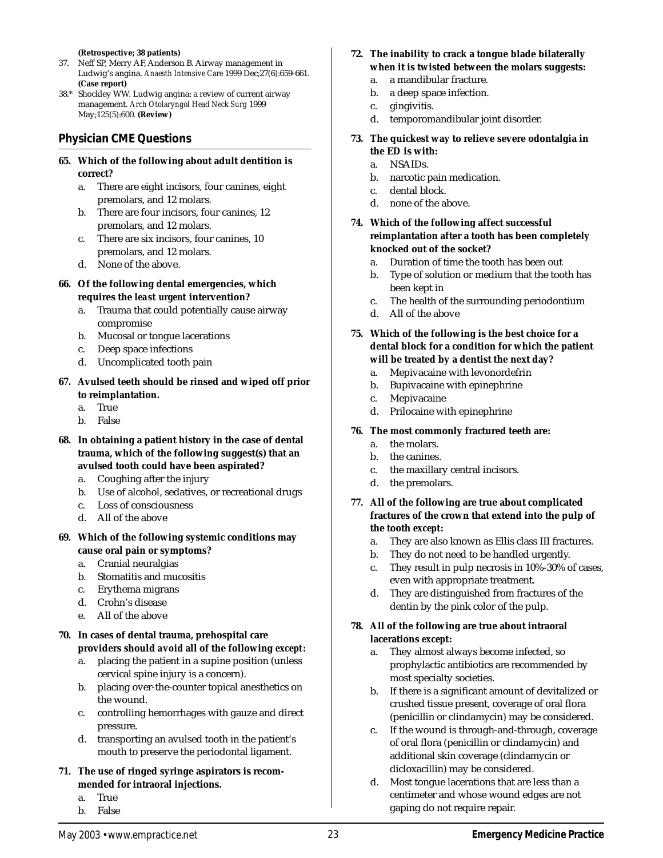**(Retrospective; 38 patients)**

- 37. Neff SP, Merry AF, Anderson B. Airway management in Ludwig's angina. *Anaesth Intensive Care* 1999 Dec;27(6):659-661. **(Case report)**
- 38.\* Shockley WW. Ludwig angina: a review of current airway management. *Arch Otolaryngol Head Neck Surg* 1999 May;125(5):600. **(Review)**

## **Physician CME Questions**

- **65. Which of the following about adult dentition is correct?**
	- a. There are eight incisors, four canines, eight premolars, and 12 molars.
	- b. There are four incisors, four canines, 12 premolars, and 12 molars.
	- c. There are six incisors, four canines, 10 premolars, and 12 molars.
	- d. None of the above.
- **66. Of the following dental emergencies, which requires the** *least urgent* **intervention?**
	- a. Trauma that could potentially cause airway compromise
	- b. Mucosal or tongue lacerations
	- c. Deep space infections
	- d. Uncomplicated tooth pain
- **67. Avulsed teeth should be rinsed and wiped off prior to reimplantation.**
	- a. True
	- b. False
- **68. In obtaining a patient history in the case of dental trauma, which of the following suggest(s) that an avulsed tooth could have been aspirated?**
	- a. Coughing after the injury
	- b. Use of alcohol, sedatives, or recreational drugs
	- c. Loss of consciousness
	- d. All of the above
- **69. Which of the following systemic conditions may cause oral pain or symptoms?**
	- a. Cranial neuralgias
	- b. Stomatitis and mucositis
	- c. Erythema migrans
	- d. Crohn's disease
	- e. All of the above
- **70. In cases of dental trauma, prehospital care providers should** *avoid* **all of the following** *except***:**
	- a. placing the patient in a supine position (unless cervical spine injury is a concern).
	- b. placing over-the-counter topical anesthetics on the wound.
	- c. controlling hemorrhages with gauze and direct pressure.
	- d. transporting an avulsed tooth in the patient's mouth to preserve the periodontal ligament.
- **71. The use of ringed syringe aspirators is recommended for intraoral injections.**
	- a. True
	- b. False
- **72. The inability to crack a tongue blade bilaterally when it is twisted between the molars suggests:**
	- a. a mandibular fracture.
	- b. a deep space infection.
	- c. gingivitis.
	- d. temporomandibular joint disorder.
- **73. The quickest way to relieve severe odontalgia in the ED is with:**
	- a. NSAIDs.
	- b. narcotic pain medication.
	- c. dental block.
	- d. none of the above.
- **74. Which of the following affect successful reimplantation after a tooth has been completely knocked out of the socket?**
	- a. Duration of time the tooth has been out
	- b. Type of solution or medium that the tooth has been kept in
	- c. The health of the surrounding periodontium
	- d. All of the above
- **75. Which of the following is the best choice for a dental block for a condition for which the patient will be treated by a dentist the next day?**
	- a. Mepivacaine with levonordefrin
	- b. Bupivacaine with epinephrine
	- c. Mepivacaine
	- d. Prilocaine with epinephrine

#### **76. The most commonly fractured teeth are:**

- a. the molars.
- b. the canines.
- c. the maxillary central incisors.
- d. the premolars.

#### **77. All of the following are true about complicated fractures of the crown that extend into the pulp of the tooth** *except***:**

- a. They are also known as Ellis class III fractures.
- b. They do not need to be handled urgently.
- c. They result in pulp necrosis in 10%-30% of cases, even with appropriate treatment.
- d. They are distinguished from fractures of the dentin by the pink color of the pulp.
- **78. All of the following are true about intraoral lacerations** *except***:**
	- a. They almost always become infected, so prophylactic antibiotics are recommended by most specialty societies.
	- b. If there is a significant amount of devitalized or crushed tissue present, coverage of oral flora (penicillin or clindamycin) may be considered.
	- c. If the wound is through-and-through, coverage of oral flora (penicillin or clindamycin) and additional skin coverage (clindamycin or dicloxacillin) may be considered.
	- d. Most tongue lacerations that are less than a centimeter and whose wound edges are not gaping do not require repair.